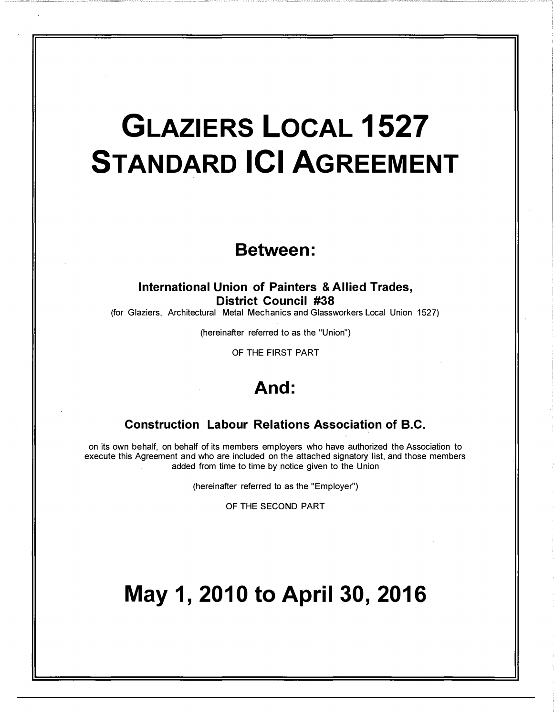# GLAZIERS LOCAL 1527 **STANDARD ICI AGREEMENT**

# Between:

# International Union of Painters & Allied Trades, District Council #38

(for Glaziers, Architectural Metal Mechanics and Glassworkers Local Union 1527)

(hereinafter referred to as the "Union")

OF THE FIRST PART

# And:

# Construction Labour Relations Association of B.C.

on its own behalf, on behalf of its members employers who have authorized the Association to execute this Agreement and who are included on the attached signatory list, and those members added from time to time by notice given to the Union

(hereinafter referred to as the "Employer")

OF THE SECOND PART

# May 1, 2010 to April 30, 2016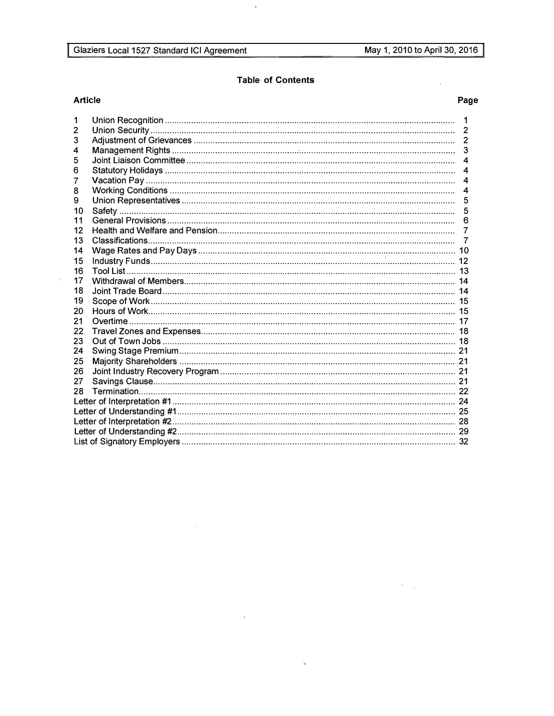$\mathcal{A}^{\mathcal{A}}_{\mathcal{A}}$ 

 $\bar{\beta}$ 

# **Table of Contents**

 $\zeta$ 

# **Article**

 $\hat{\vec{r}}$ 

# Page

| 1  | $\mathbf 1$    |
|----|----------------|
| 2  |                |
| 3  |                |
| 4  |                |
| 5  |                |
| 6  | $\overline{4}$ |
| 7  |                |
| 8  |                |
| 9  |                |
| 10 | 5              |
| 11 |                |
| 12 |                |
| 13 |                |
| 14 |                |
| 15 |                |
| 16 |                |
| 17 |                |
| 18 |                |
| 19 |                |
| 20 |                |
| 21 |                |
| 22 |                |
| 23 |                |
| 24 |                |
| 25 |                |
| 26 |                |
| 27 |                |
| 28 |                |
|    |                |
|    |                |
|    |                |
|    |                |
|    |                |

 $\mathcal{A}^{\mathcal{A}}$ 

 $\langle \cdot \rangle$ 

 $\sim 300$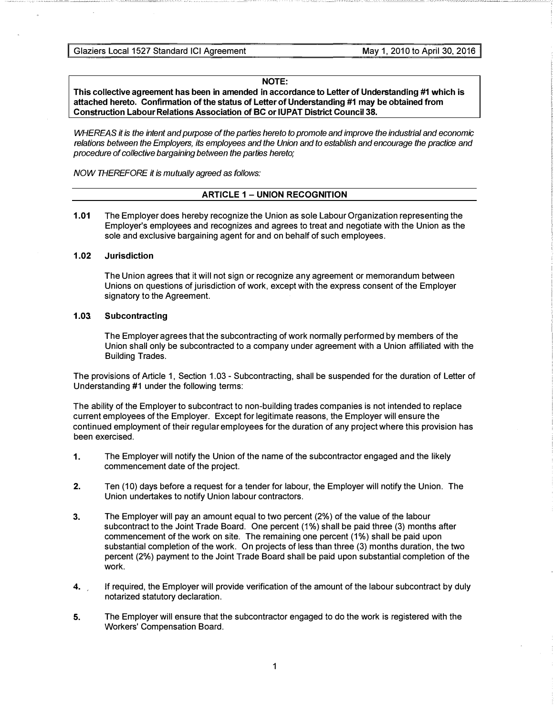Glaziers Local 1527 Standard ICI Agreement May 1, 2010 to April 30, 2016

## NOTE:

This collective agreement has been in amended in accordance to Letter of Understanding #1 which is attached hereto. Confirmation of the status of Letter of Understanding #1 may be obtained from Construction Labour Relations Association of BC or IUPAT District Council 38.

WHEREAS it is the intent and purpose of the parties hereto to promote and improve the industrial and economic relations between the Employers, its employees and the Union and to establish and encourage the practice and procedure of collective bargaining between the parties hereto;

NOW THEREFORE it is mutually agreed as follows:

# ARTICLE 1 - UNION RECOGNITION

1.01 The Employer does hereby recognize the Union as sole Labour Organization representing the Employer's employees and recognizes and agrees to treat and negotiate with the Union as the sole and exclusive bargaining agent for and on behalf of such employees.

# 1.02 Jurisdiction

The Union agrees that it will not sign or recognize any agreement or memorandum between Unions on questions of jurisdiction of work, except with the express consent of the Employer signatory to the Agreement.

# 1.03 Subcontracting

The Employer agrees that the subcontracting of work normally performed by members of the Union shall only be subcontracted to a company under agreement with a Union affiliated with the Building Trades.

The provisions of Article 1, Section 1.03 - Subcontracting, shall be suspended for the duration of Letter of Understanding #1 under the following terms:

The ability of the Employer to subcontract to non-building trades companies is not intended to replace current employees of the Employer. Except for legitimate reasons, the Employer will ensure the continued employment of their regular employees for the duration of any project where this provision has been exercised.

- 1. The Employer will notify the Union of the name of the subcontractor engaged and the likely commencement date of the project.
- 2. Ten (10) days before a request for a tender for labour, the Employer will notify the Union. The Union undertakes to notify Union labour contractors.
- 3. The Employer will pay an amount equal to two percent (2%) of the value of the labour subcontract to the Joint Trade Board. One percent (1%) shall be paid three (3) months after commencement of the work on site. The remaining one percent (1%) shall be paid upon substantial completion of the work. On projects of less than three (3) months duration, the two percent (2%) payment to the Joint Trade Board shall be paid upon substantial completion of the work.
- 4. If required, the Employer will provide verification of the amount of the labour subcontract by duly notarized statutory declaration.
- 5. The Employer will ensure that the subcontractor engaged to do the work is registered with the Workers' Compensation Board.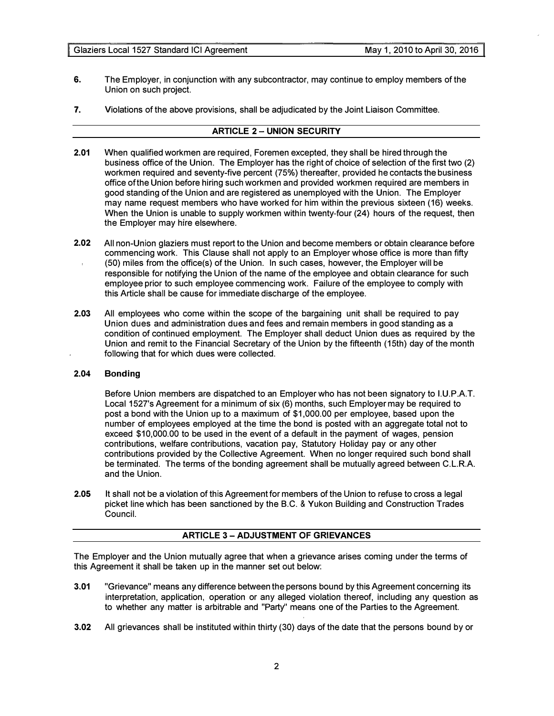- 6. The Employer, in conjunction with any subcontractor, may continue to employ members of the Union on such project.
- 7. Violations of the above provisions, shall be adjudicated by the Joint Liaison Committee.

# **ARTICLE 2 - UNION SECURITY**

- 2.01 When qualified workmen are required, Foremen excepted, they shall be hired through the business office of the Union. The Employer has the right of choice of selection of the first two (2) workmen required and seventy-five percent (75%) thereafter, provided he contacts the business office of the Union before hiring such workmen and provided workmen required are members in good standing of the Union and are registered as unemployed with the Union. The Employer may name request members who have worked for him within the previous sixteen (16) weeks. When the Union is unable to supply workmen within twenty-four (24) hours of the request, then the Employer may hire elsewhere.
- 2.02 All non-Union glaziers must report to the Union and become members or obtain clearance before commencing work. This Clause shall not apply to an Employer whose office is more than fifty (50) miles from the office(s) of the Union. In such cases, however, the Employer will be responsible for notifying the Union of the name of the employee and obtain clearance for such employee prior to such employee commencing work. Failure of the employee to comply with this Article shall be cause for immediate discharge of the employee.
- 2.03 All employees who come within the scope of the bargaining unit shall be required to pay Union dues and administration dues and fees and remain members in good standing as a condition of continued employment. The Employer shall deduct Union dues as required by the Union and remit to the Financial Secretary of the Union by the fifteenth (15th) day of the month following that for which dues were collected.

## 2.04 Bonding

Before Union members are dispatched to an Employer who has not been signatory to l.U.P.A.T. Local 1527's Agreement for a minimum of six (6) months, such Employer may be required to post a bond with the Union up to a maximum of \$1,000.00 per employee, based upon the number of employees employed at the time the bond is posted with an aggregate total not to exceed \$10,000.00 to be used in the event of a default in the payment of wages, pension contributions, welfare contributions, vacation pay, Statutory Holiday pay or any other contributions provided by the Collective Agreement. When no longer required such bond shall be terminated. The terms of the bonding agreement shall be mutually agreed between C.L.R.A. and the Union.

2.05 It shall not be a violation of this Agreement for members of the Union to refuse to cross a legal picket line which has been sanctioned by the B.C. & Yukon Building and Construction Trades Council.

# **ARTICLE 3 - ADJUSTMENT OF GRIEVANCES**

The Employer and the Union mutually agree that when a grievance arises coming under the terms of this Agreement it shall be taken up in the manner set out below:

- 3.01 "Grievance" means any difference between the persons bound by this Agreement concerning its interpretation, application, operation or any alleged violation thereof, including any question as to whether any matter is arbitrable and "Party" means one of the Parties to the Agreement.
- 3.02 All grievances shall be instituted within thirty (30) days of the date that the persons bound by or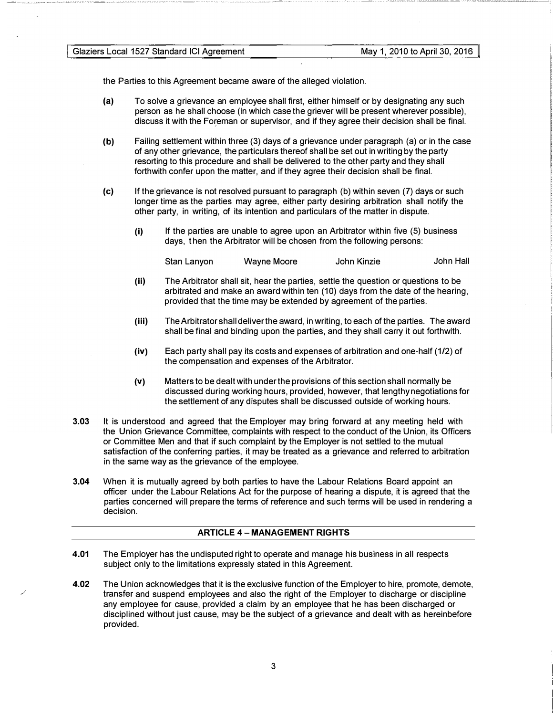the Parties to this Agreement became aware of the alleged violation.

- (a) To solve a grievance an employee shall first, either himself or by designating any such person as he shall choose (in which case the griever will be present wherever possible), discuss it with the Foreman or supervisor, and if they agree their decision shall be final.
- (b) Failing settlement within three (3) days of a grievance under paragraph (a) or in the case of any other grievance, the particulars thereof shall be set out in writing by the party resorting to this procedure and shall be delivered to the other party and they shall forthwith confer upon the matter, and if they agree their decision shall be final.
- (c) If the grievance is not resolved pursuant to paragraph (b) within seven (7) days or such longer time as the parties may agree, either party desiring arbitration shall notify the other party, in writing, of its intention and particulars of the matter in dispute.
	- (i) If the parties are unable to agree upon an Arbitrator within five (5) business days, t hen the Arbitrator will be chosen from the following persons:

Stan Lanyon Wayne Moore John Kinzie John Hall

- (ii) The Arbitrator shall sit, hear the parties, settle the question or questions to be arbitrated and make an award within ten (10) days from the date of the hearing, provided that the time may be extended by agreement of the parties.
- (iii) The Arbitrator shall deliver the award, in writing, to each of the parties. The award shall be final and binding upon the parties, and they shall carry it out forthwith.
- (iv) Each party shall pay its costs and expenses of arbitration and one-half (1/2) of the compensation and expenses of the Arbitrator.
- (v) Matters to be dealt with under the provisions of this section shall normally be discussed during working hours, provided, however, that lengthy negotiations for the settlement of any disputes shall be discussed outside of working hours.
- 3.03 It is understood and agreed that the Employer may bring forward at any meeting held with the Union Grievance Committee, complaints with respect to the conduct of the Union, its Officers or Committee Men and that if such complaint by the Employer is not settled to the mutual satisfaction of the conferring parties, it may be treated as a grievance and referred to arbitration in the same way as the grievance of the employee.
- 3.04 When it is mutually agreed by both parties to have the Labour Relations Board appoint an officer under the Labour Relations Act for the purpose of hearing a dispute, it is agreed that the parties concerned will prepare the terms of reference and such terms will be used in rendering a decision.

# ARTICLE 4 - MANAGEMENT RIGHTS

- 4.01 The Employer has the undisputed right to operate and manage his business in all respects subject only to the limitations expressly stated in this Agreement.
- 4.02 The Union acknowledges that it is the exclusive function of the Employer to hire, promote, demote, transfer and suspend employees and also the right of the Employer to discharge or discipline any employee for cause, provided a claim by an employee that he has been discharged or disciplined without just cause, may be the subject of a grievance and dealt with as hereinbefore provided.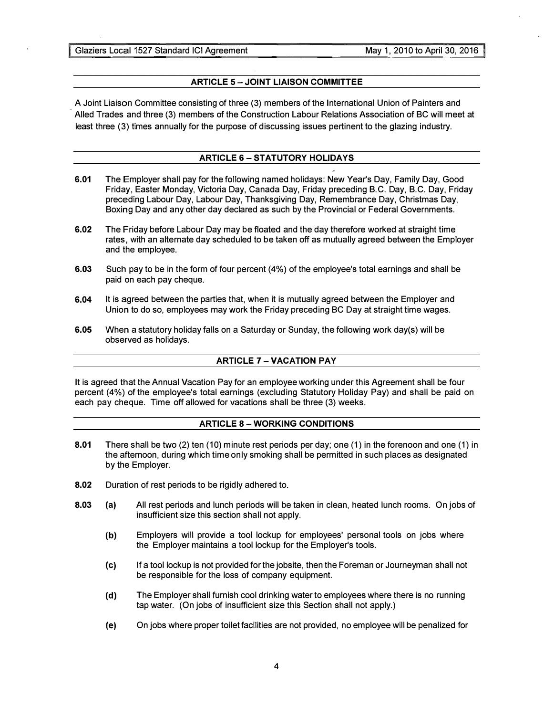� Glaziers Local 1527 Standard ICI Agreement

# **ARTICLE 5 - JOINT LIAISON COMMITTEE**

A Joint Liaison Committee consisting of three (3) members of the International Union of Painters and Aiied Trades and three (3) members of the Construction Labour Relations Association of BC will meet at least three (3) times annually for the purpose of discussing issues pertinent to the glazing industry.

# ARTICLE 6-STATUTORY HOLIDAYS

- 6.01 The Employer shall pay for the following named holidays: New Year's Day, Family Day, Good Friday, Easter Monday, Victoria Day, Canada Day, Friday preceding B.C. Day, B.C. Day, Friday preceding Labour Day, Labour Day, Thanksgiving Day, Remembrance Day, Christmas Day, Boxing Day and any other day declared as such by the Provincial or Federal Governments.
- 6.02 The Friday before Labour Day may be floated and the day therefore worked at straight time rates, with an alternate day scheduled to be taken off as mutually agreed between the Employer and the employee.
- 6.03 Such pay to be in the form of four percent (4%) of the employee's total earnings and shall be paid on each pay cheque.
- 6.04 It is agreed between the parties that, when it is mutually agreed between the Employer and Union to do so, employees may work the Friday preceding BC Day at straight time wages.
- 6.05 When a statutory holiday falls on a Saturday or Sunday, the following work day(s) will be observed as holidays.

# ARTICLE 7 - VACATION PAY

It is agreed that the Annual Vacation Pay for an employee working under this Agreement shall be four percent (4%) of the employee's total earnings (excluding Statutory Holiday Pay) and shall be paid on each pay cheque. Time off allowed for vacations shall be three (3) weeks.

#### **ARTICLE 8 - WORKING CONDITIONS**

- 8.01 There shall be two (2) ten (10) minute rest periods per day; one (1) in the forenoon and one (1) in the afternoon, during which time only smoking shall be permitted in such places as designated by the Employer.
- 8.02 Duration of rest periods to be rigidly adhered to.
- 8.03 (a) All rest periods and lunch periods will be taken in clean, heated lunch rooms. On jobs of insufficient size this section shall not apply.
	- (b) Employers will provide a tool lockup for employees' personal tools on jobs where the Employer maintains a tool lockup for the Employer's tools.
	- (c) If a tool lockup is not provided for the jobsite, then the Foreman or Journeyman shall not be responsible for the loss of company equipment.
	- (d) The Employer shall furnish cool drinking water to employees where there is no running tap water. (On jobs of insufficient size this Section shall not apply.)
	- (e) On jobs where proper toilet facilities are not provided, no employee will be penalized for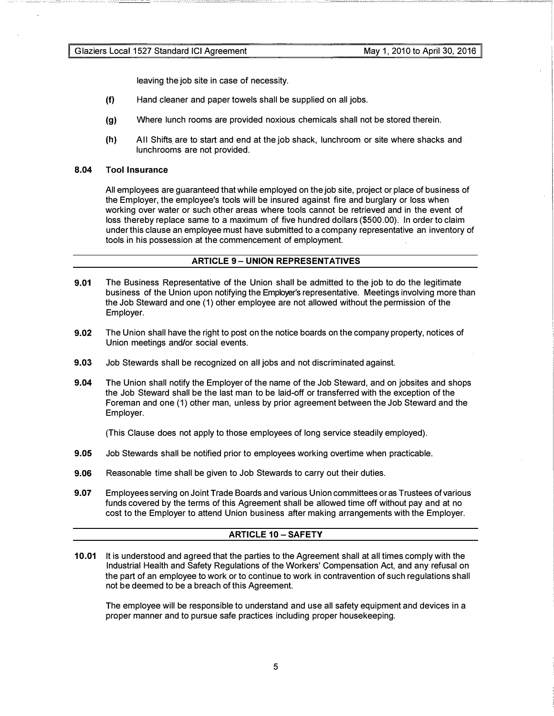leaving the job site in case of necessity.

- (f) Hand cleaner and paper towels shall be supplied on all jobs.
- (g) Where lunch rooms are provided noxious chemicals shall not be stored therein.
- (h) All Shifts are to start and end at the job shack, lunchroom or site where shacks and lunchrooms are not provided.

## 8.04 Tool Insurance

All employees are guaranteed that while employed on the job site, project or place of business of the Employer, the employee's tools will be insured against fire and burglary or loss when working over water or such other areas where tools cannot be retrieved and in the event of loss thereby replace same to a maximum of five hundred dollars (\$500.00). In order to claim under this clause an employee must have submitted to a company representative an inventory of tools in his possession at the commencement of employment.

#### ARTICLE 9- UNION REPRESENTATIVES

- 9.01 The Business Representative of the Union shall be admitted to the job to do the legitimate business of the Union upon notifying the Employer's representative. Meetings involving more than the Job Steward and one (1) other employee are not allowed without the permission of the Employer.
- 9.02 The Union shall have the right to post on the notice boards on the company property, notices of Union meetings and/or social events.
- 9.03 Job Stewards shall be recognized on all jobs and not discriminated against.
- 9.04 The Union shall notify the Employer of the name of the Job Steward, and on jobsites and shops the Job Steward shall be the last man to be laid-off or transferred with the exception of the Foreman and one (1) other man, unless by prior agreement between the Job Steward and the Employer.

(This Clause does not apply to those employees of long service steadily employed).

- 9.05 Job Stewards shall be notified prior to employees working overtime when practicable.
- 9.06 Reasonable time shall be given to Job Stewards to carry out their duties.
- 9.07 Employees serving on Joint Trade Boards and various Union committees or as Trustees of various funds covered by the terms of this Agreement shall be allowed time off without pay and at no cost to the Employer to attend Union business after making arrangements with the Employer.

## ARTICLE 10 - SAFETY

10.01 It is understood and agreed that the parties to the Agreement shall at all times comply with the Industrial Health and Safety Regulations of the Workers' Compensation Act, and any refusal on the part of an employee to work or to continue to work in contravention of such regulations shall not be deemed to be a breach of this Agreement.

The employee will be responsible to understand and use all safety equipment and devices in a proper manner and to pursue safe practices including proper housekeeping.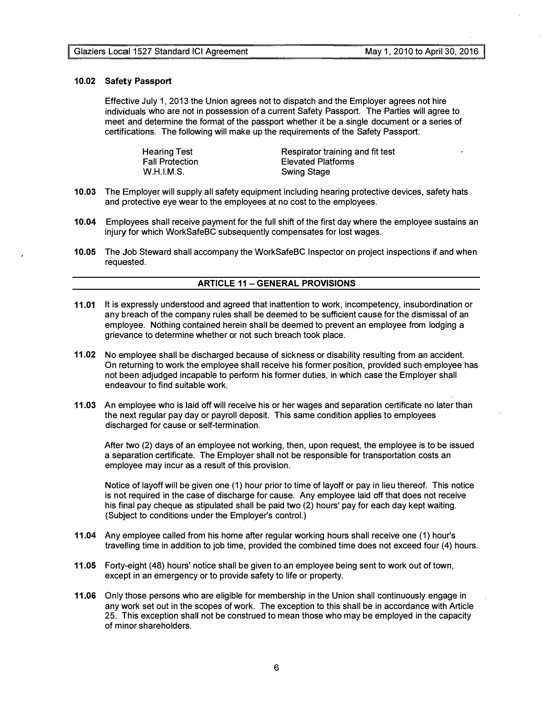#### 10.02 Safety Passport

Effective July 1, 2013 the Union agrees not to dispatch and the Employer agrees not hire individuals who are not in possession of a current Safety Passport. The Parties will agree to meet and determine the format of the passport whether it be a single document or a series of certifications. The following will make up the requirements of the Safety Passport:

> Hearing Test Fall Protection W.H.l.M.S.

Respirator training and fit test Elevated Platforms Swing Stage

- 10.03 The Employer will supply all safety equipment including hearing protective devices, safety hats and protective eye wear to the employees at no cost to the employees.
- 10.04 Employees shall receive payment for the full shift of the first day where the employee sustains an injury for which WorkSafeBC subsequently compensates for lost wages.
- 10.05 The Job Steward shall accompany the WorkSafeBC Inspector on project inspections if and when requested.

#### **ARTICLE 11 - GENERAL PROVISIONS**

- 11.01 It is expressly understood and agreed that inattention to work, incompetency, insubordination or any breach of the company rules shall be deemed to be sufficient cause for the dismissal of an employee. Nothing contained herein shall be deemed to prevent an employee from lodging a grievance to determine whether or not such breach took place.
- 11.02 No employee shall be discharged because of sickness or disability resulting from an accident. On returning to work the employee shall receive his former position, provided such employee has not been adjudged incapable to perform his former duties, in which case the Employer shall endeavour to find suitable work.
- 11.03 An employee who is laid off will receive his or her wages and separation certificate no later than the next regular pay day or payroll deposit. This same condition applies to employees discharged for cause or self-termination.

After two (2) days of an employee not working, then, upon request, the employee is to be issued a separation certificate. The Employer shall not be responsible for transportation costs an employee may incur as a result of this provision.

Notice of layoff will be given one (1) hour prior to time of layoff or pay in lieu thereof. This notice is not required in the case of discharge for cause. Any employee laid off that does not receive his final pay cheque as stipulated shall be paid two (2) hours' pay for each day kept waiting. (Subject to conditions under the Employer's control.)

- 11.04 Any employee called from his home after regular working hours shall receive one (1) hour's travelling time in addition to job time, provided the combined time does not exceed four (4) hours.
- 11.05 Forty-eight (48) hours' notice shall be given to an employee being sent to work out of town, except in an emergency or to provide safety to life or property.
- 11.06 Only those persons who are eligible for membership in the Union shall continuously engage in any work set out in the scopes of work. The exception to this shall be in accordance with Article 25. This exception shall not be construed to mean those who may be employed in the capacity of minor shareholders.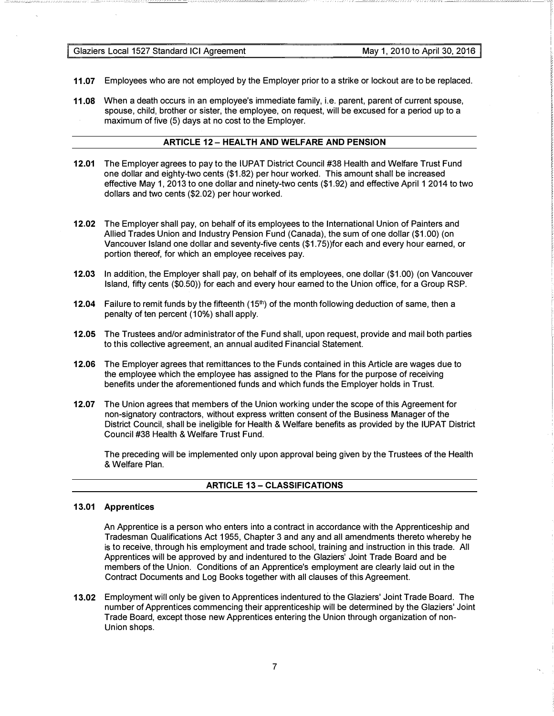Glaziers Local 1527 Standard ICI Agreement May 1, 2010 to April 30, 2016

- 11.07 Employees who are not employed by the Employer prior to a strike or lockout are to be replaced.
- 11.08 When a death occurs in an employee's immediate family, i.e. parent, parent of current spouse, spouse, child, brother or sister, the employee, on request, will be excused for a period up to a maximum of five (5) days at no cost to the Employer.

# ARTICLE 12 - HEALTH AND WELFARE AND PENSION

- 12.01 The Employer agrees to pay to the IUPAT District Council #38 Health and Welfare Trust Fund one dollar and eighty-two cents (\$1.82) per hour worked. This amount shall be increased effective May 1, 2013 to one dollar and ninety-two cents (\$1.92) and effective April 1 2014 to two dollars and two cents (\$2.02) per hour worked.
- 12.02 The Employer shall pay, on behalf of its employees to the International Union of Painters and Allied Trades Union and Industry Pension Fund (Canada), the sum of one dollar (\$1.00) (on Vancouver Island one dollar and seventy-five cents (\$1.75))for each and every hour earned, or portion thereof, for which an employee receives pay.
- 12.03 In addition, the Employer shall pay, on behalf of its employees, one dollar (\$1.00) (on Vancouver Island, fifty cents (\$0.50)) for each and every hour earned to the Union office, for a Group RSP.
- **12.04** Failure to remit funds by the fifteenth  $(15<sup>th</sup>)$  of the month following deduction of same, then a penalty of ten percent (10%) shall apply.
- 12.05 The Trustees and/or administrator of the Fund shall, upon request, provide and mail both parties to this collective agreement, an annual audited Financial Statement.
- 12.06 The Employer agrees that remittances to the Funds contained in this Article are wages due to the employee which the employee has assigned to the Plans for the purpose of receiving benefits under the aforementioned funds and which funds the Employer holds in Trust.
- 12.07 The Union agrees that members of the Union working under the scope of this Agreement for non-signatory contractors, without express written consent of the Business Manager of the District Council, shall be ineligible for Health & Welfare benefits as provided by the IUPAT District Council #38 Health & Welfare Trust Fund.

The preceding will be implemented only upon approval being given by the Trustees of the Health & Welfare Plan.

## ARTICLE 13- CLASSIFICATIONS

# 13.01 Apprentices

An Apprentice is a person who enters into a contract in accordance with the Apprenticeship and Tradesman Qualifications Act 1955, Chapter 3 and any and all amendments thereto whereby he is to receive, through his employment and trade school, training and instruction in this trade. All Apprentices will be approved by and indentured to the Glaziers' Joint Trade Board and be members of the Union. Conditions of an Apprentice's employment are clearly laid out in the Contract Documents and Log Books together with all clauses of this Agreement.

13.02 Employment will only be given to Apprentices indentured to the Glaziers' Joint Trade Board. The number of Apprentices commencing their apprenticeship will be determined by the Glaziers' Joint Trade Board, except those new Apprentices entering the Union through organization of non-Union shops.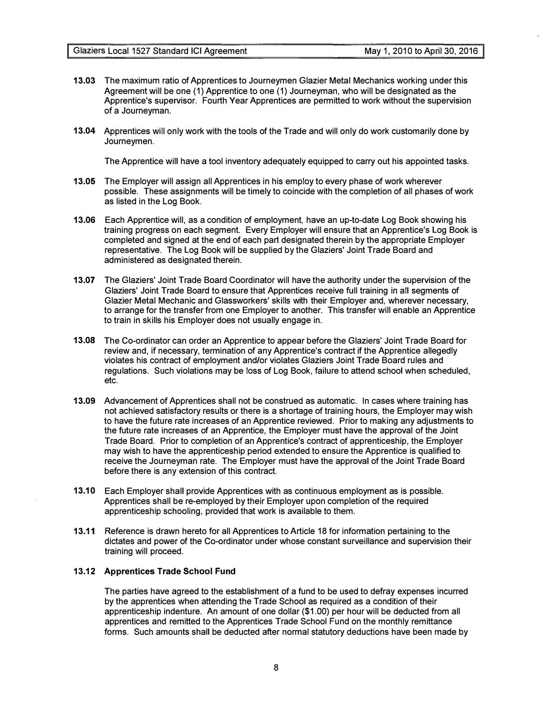- 13.03 The maximum ratio of Apprentices to Journeymen Glazier Metal Mechanics working under this Agreement will be one (1) Apprentice to one (1) Journeyman, who will be designated as the Apprentice's supervisor. Fourth Year Apprentices are permitted to work without the supervision of a Journeyman.
- 13.04 Apprentices will only work with the tools of the Trade and will only do work customarily done by Journeymen.

The Apprentice will have a tool inventory adequately equipped to carry out his appointed tasks.

- 13.05 The Employer will assign all Apprentices in his employ to every phase of work wherever possible. These assignments will be timely to coincide with the completion of all phases of work as listed in the Log Book.
- 13.06 Each Apprentice will, as a condition of employment, have an up-to-date Log Book showing his training progress on each segment. Every Employer will ensure that an Apprentice's Log Book is completed and signed at the end of each part designated therein by the appropriate Employer representative. The Log Book will be supplied by the Glaziers' Joint Trade Board and administered as designated therein.
- 13.07 The Glaziers' Joint Trade Board Coordinator will have the authority under the supervision of the Glaziers' Joint Trade Board to ensure that Apprentices receive full training in all segments of Glazier Metal Mechanic and Glassworkers' skills with their Employer and, wherever necessary, to arrange for the transfer from one Employer to another. This transfer will enable an Apprentice to train in skills his Employer does not usually engage in.
- 13.08 The Co-ordinator can order an Apprentice to appear before the Glaziers' Joint Trade Board for review and, if necessary, termination of any Apprentice's contract if the Apprentice allegedly violates his contract of employment and/or violates Glaziers Joint Trade Board rules and regulations. Such violations may be loss of Log Book, failure to attend school when scheduled, etc.
- 13.09 Advancement of Apprentices shall not be construed as automatic. In cases where training has not achieved satisfactory results or there is a shortage of training hours, the Employer may wish to have the future rate increases of an Apprentice reviewed. Prior to making any adjustments to the future rate increases of an Apprentice, the Employer must have the approval of the Joint Trade Board. Prior to completion of an Apprentice's contract of apprenticeship, the Employer may wish to have the apprenticeship period extended to ensure the Apprentice is qualified to receive the Journeyman rate. The Employer must have the approval of the Joint Trade Board before there is any extension of this contract.
- 13.10 Each Employer shall provide Apprentices with as continuous employment as is possible. Apprentices shall be re-employed by their Employer upon completion of the required apprenticeship schooling, provided that work is available to them.
- 13.11 Reference is drawn hereto for all Apprentices to Article 18 for information pertaining to the dictates and power of the Co-ordinator under whose constant surveillance and supervision their training will proceed.

# 13.12 Apprentices Trade School Fund

The parties have agreed to the establishment of a fund to be used to defray expenses incurred by the apprentices when attending the Trade School as required as a condition of their apprenticeship indenture. An amount of one dollar (\$1.00) per hour will be deducted from all apprentices and remitted to the Apprentices Trade School Fund on the monthly remittance forms. Such amounts shall be deducted after normal statutory deductions have been made by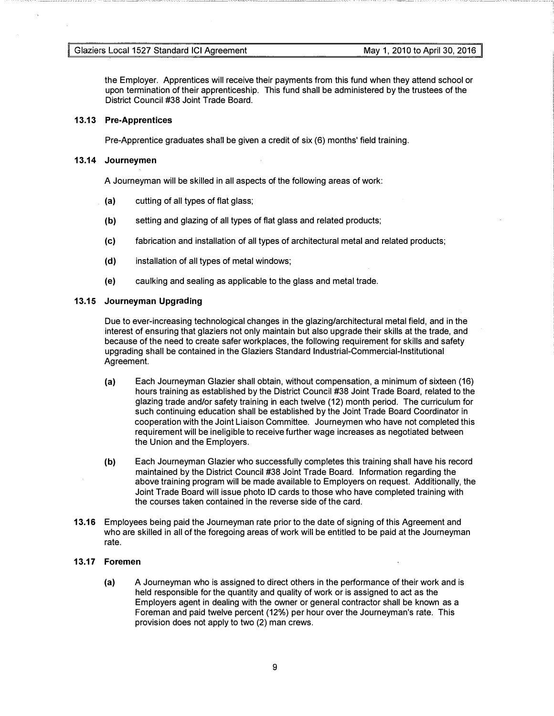the Employer. Apprentices will receive their payments from this fund when they attend school or upon termination of their apprenticeship. This fund shall be administered by the trustees of the District Council #38 Joint Trade Board.

# 13.13 Pre-Apprentices

Pre-Apprentice graduates shall be given a credit of six (6) months' field training.

#### 13.14 Journeymen

A Journeyman will be skilled in all aspects of the following areas of work:

- {a) cutting of all types of flat glass;
- {b) setting and glazing of all types of flat glass and related products;
- {c) fabrication and installation of all types of architectural metal and related products;
- (d) installation of all types of metal windows;
- {e) caulking and sealing as applicable to the glass and metal trade.

#### 13.15 Journeyman Upgrading

Due to ever-increasing technological changes in the glazing/architectural metal field, and in the interest of ensuring that glaziers not only maintain but also upgrade their skills at the trade, and because of the need to create safer workplaces, the following requirement for skills and safety upgrading shall be contained in the Glaziers Standard Industrial-Commercial-Institutional Agreement.

- (a) Each Journeyman Glazier shall obtain, without compensation, a minimum of sixteen (16) hours training as established by the District Council #38 Joint Trade Board, related to the glazing trade and/or safety training in each twelve (12) month period. The curriculum for such continuing education shall be established by the Joint Trade Board Coordinator in cooperation with the Joint Liaison Committee. Journeymen who have not completed this requirement will be ineligible to receive further wage increases as negotiated between the Union and the Employers.
- (b) Each Journeyman Glazier who successfully completes this training shall have his record maintained by the District Council #38 Joint Trade Board. Information regarding the above training program will be made available to Employers on request. Additionally, the Joint Trade Board will issue photo ID cards to those who have completed training with the courses taken contained in the reverse side of the card.
- 13.16 Employees being paid the Journeyman rate prior to the date of signing of this Agreement and who are skilled in all of the foregoing areas of work will be entitled to be paid at the Journeyman rate.

#### 13.17 Foremen

{a) A Journeyman who is assigned to direct others in the performance of their work and is held responsible for the quantity and quality of work or is assigned to act as the Employers agent in dealing with the owner or general contractor shall be known as a Foreman and paid twelve percent (12%) per hour over the Journeyman's rate. This provision does not apply to two (2) man crews.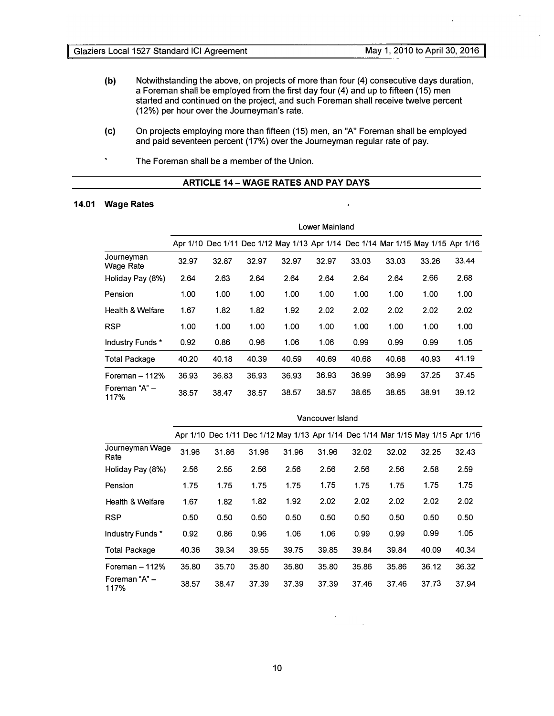- (b) Notwithstanding the above, on projects of more than four (4) consecutive days duration, a Foreman shall be employed from the first day four (4) and up to fifteen (15) men started and continued on the project, and such Foreman shall receive twelve percent (12%) per hour over the Journeyman's rate.
- (c) On projects employing more than fifteen (15) men, an "A" Foreman shall be employed and paid seventeen percent (17%) over the Journeyman regular rate of pay.
- $\ddot{\phantom{a}}$ The Foreman shall be a member of the Union.

# ARTICLE 14-WAGE RATES AND PAY DAYS

J.

# 14.01 Wage Rates

|                         | Lower Mainland |       |       |                                                                                  |       |       |       |       |       |
|-------------------------|----------------|-------|-------|----------------------------------------------------------------------------------|-------|-------|-------|-------|-------|
|                         |                |       |       | Apr 1/10 Dec 1/11 Dec 1/12 May 1/13 Apr 1/14 Dec 1/14 Mar 1/15 May 1/15 Apr 1/16 |       |       |       |       |       |
| Journeyman<br>Wage Rate | 32.97          | 32.87 | 32.97 | 32.97                                                                            | 32.97 | 33.03 | 33.03 | 33.26 | 33.44 |
| Holiday Pay (8%)        | 2.64           | 2.63  | 2.64  | 2.64                                                                             | 2.64  | 2.64  | 2.64  | 2.66  | 2.68  |
| Pension                 | 1.00           | 1.00  | 1.00  | 1.00                                                                             | 1.00  | 1.00  | 1.00  | 1.00  | 1.00  |
| Health & Welfare        | 1.67           | 1.82  | 1.82  | 1.92                                                                             | 2.02  | 2.02  | 2.02  | 2.02  | 2.02  |
| <b>RSP</b>              | 1.00           | 1.00  | 1.00  | 1.00                                                                             | 1.00  | 1.00  | 1.00  | 1.00  | 1.00  |
| Industry Funds *        | 0.92           | 0.86  | 0.96  | 1.06                                                                             | 1.06  | 0.99  | 0.99  | 0.99  | 1.05  |
| <b>Total Package</b>    | 40.20          | 40.18 | 40.39 | 40.59                                                                            | 40.69 | 40.68 | 40.68 | 40.93 | 41.19 |
| Foreman $-112%$         | 36.93          | 36.83 | 36.93 | 36.93                                                                            | 36.93 | 36.99 | 36.99 | 37.25 | 37.45 |
| Foreman "A" -<br>117%   | 38.57          | 38.47 | 38.57 | 38.57                                                                            | 38.57 | 38.65 | 38.65 | 38.91 | 39.12 |

|                         | Vancouver Island |       |       |                                                                                  |       |       |       |       |       |
|-------------------------|------------------|-------|-------|----------------------------------------------------------------------------------|-------|-------|-------|-------|-------|
|                         |                  |       |       | Apr 1/10 Dec 1/11 Dec 1/12 May 1/13 Apr 1/14 Dec 1/14 Mar 1/15 May 1/15 Apr 1/16 |       |       |       |       |       |
| Journeyman Wage<br>Rate | 31.96            | 31.86 | 31.96 | 31.96                                                                            | 31.96 | 32.02 | 32.02 | 32.25 | 32.43 |
| Holiday Pay (8%)        | 2.56             | 2.55  | 2.56  | 2.56                                                                             | 2.56  | 2.56  | 2.56  | 2.58  | 2.59  |
| Pension                 | 1.75             | 1.75  | 1.75  | 1.75                                                                             | 1.75  | 1.75  | 1.75  | 1.75  | 1.75  |
| Health & Welfare        | 1.67             | 1.82  | 1.82  | 1.92                                                                             | 2.02  | 2.02  | 2.02  | 2.02  | 2.02  |
| <b>RSP</b>              | 0.50             | 0.50  | 0.50  | 0.50                                                                             | 0.50  | 0.50  | 0.50  | 0.50  | 0.50  |
| Industry Funds *        | 0.92             | 0.86  | 0.96  | 1.06                                                                             | 1.06  | 0.99  | 0.99  | 0.99  | 1.05  |
| <b>Total Package</b>    | 40.36            | 39.34 | 39.55 | 39.75                                                                            | 39.85 | 39.84 | 39.84 | 40.09 | 40.34 |
| Foreman $-112%$         | 35.80            | 35.70 | 35.80 | 35.80                                                                            | 35.80 | 35.86 | 35.86 | 36.12 | 36.32 |
| Foreman "A" -<br>117%   | 38.57            | 38.47 | 37.39 | 37.39                                                                            | 37.39 | 37.46 | 37.46 | 37.73 | 37.94 |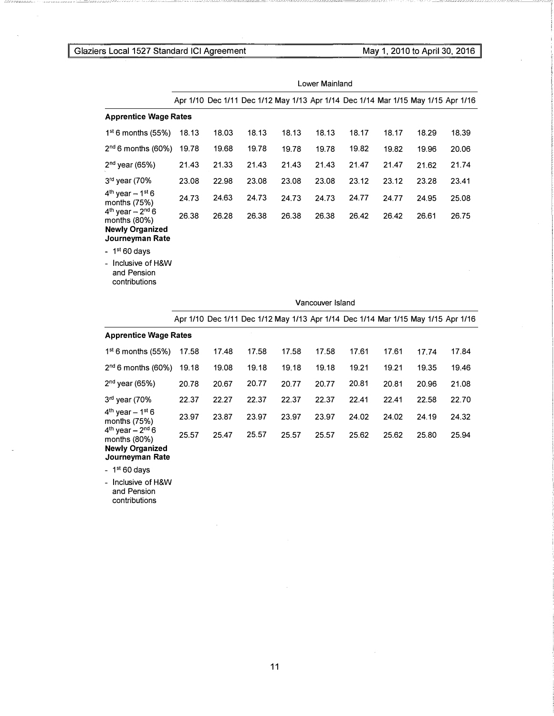# Local 1527 Standard ICI Agreement May 1, 2010 to April 30, 2016

|                                                                                         | Lower Mainland |       |       |                                                                                  |                  |       |       |       |       |
|-----------------------------------------------------------------------------------------|----------------|-------|-------|----------------------------------------------------------------------------------|------------------|-------|-------|-------|-------|
|                                                                                         |                |       |       | Apr 1/10 Dec 1/11 Dec 1/12 May 1/13 Apr 1/14 Dec 1/14 Mar 1/15 May 1/15 Apr 1/16 |                  |       |       |       |       |
| <b>Apprentice Wage Rates</b>                                                            |                |       |       |                                                                                  |                  |       |       |       |       |
| $1st$ 6 months (55%)                                                                    | 18.13          | 18.03 | 18.13 | 18.13                                                                            | 18.13            | 18.17 | 18.17 | 18.29 | 18.39 |
| $2nd$ 6 months (60%)                                                                    | 19.78          | 19.68 | 19.78 | 19.78                                                                            | 19.78            | 19.82 | 19.82 | 19.96 | 20.06 |
| $2nd$ year (65%)                                                                        | 21.43          | 21.33 | 21.43 | 21.43                                                                            | 21.43            | 21.47 | 21.47 | 21.62 | 21.74 |
| 3rd year (70%                                                                           | 23.08          | 22.98 | 23.08 | 23.08                                                                            | 23.08            | 23.12 | 23.12 | 23.28 | 23.41 |
| $4th$ year $-1st$ 6<br>months $(75%)$                                                   | 24.73          | 24.63 | 24.73 | 24.73                                                                            | 24.73            | 24.77 | 24.77 | 24.95 | 25.08 |
| $4^{th}$ year – $2^{nd}$ 6<br>months (80%)<br><b>Newly Organized</b><br>Journeyman Rate | 26.38          | 26.28 | 26.38 | 26.38                                                                            | 26.38            | 26.42 | 26.42 | 26.61 | 26.75 |
| - $1st 60 days$                                                                         |                |       |       |                                                                                  |                  |       |       |       |       |
| Inclusive of H&W<br>and Pension<br>contributions                                        |                |       |       |                                                                                  |                  |       |       |       |       |
|                                                                                         |                |       |       |                                                                                  | Vancouver Island |       |       |       |       |
|                                                                                         |                |       |       | Apr 1/10 Dec 1/11 Dec 1/12 May 1/13 Apr 1/14 Dec 1/14 Mar 1/15 May 1/15 Apr 1/16 |                  |       |       |       |       |
| <b>Apprentice Wage Rates</b>                                                            |                |       |       |                                                                                  |                  |       |       |       |       |
| $1st$ 6 months (55%)                                                                    | 17.58          | 17.48 | 17.58 | 17.58                                                                            | 17.58            | 17.61 | 17.61 | 17.74 | 17.84 |
| $2nd$ 6 months (60%)                                                                    | 19.18          | 19.08 | 19.18 | 19.18                                                                            | 19.18            | 19.21 | 19.21 | 19.35 | 19.46 |
| $2nd$ year (65%)                                                                        | 20.78          | 20.67 | 20.77 | 20.77                                                                            | 20.77            | 20.81 | 20.81 | 20.96 | 21.08 |
| $3rd$ year (70%                                                                         | 22.37          | 22.27 | 22.37 | 22.37                                                                            | 22.37            | 22.41 | 22.41 | 22.58 | 22.70 |
| $4th$ year - 1 <sup>st</sup> 6<br>months $(75%)$                                        | 23.97          | 23.87 | 23.97 | 23.97                                                                            | 23.97            | 24.02 | 24.02 | 24.19 | 24.32 |
| $4th$ year – $2nd$ 6<br>months $(80%)$<br><b>Newly Organized</b>                        | 25.57          | 25.47 | 25.57 | 25.57                                                                            | 25.57            | 25.62 | 25.62 | 25.80 | 25.94 |

Journeyman Rate

-  $1<sup>st</sup> 60 days$ 

- Inclusive of H&W and Pension contributions

11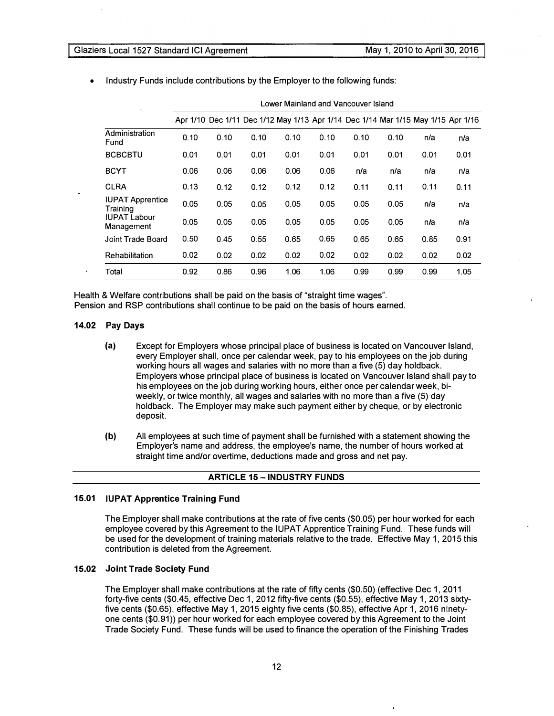| N.                                  |      |      |      | LONOI INAIIIIAIIA ANA VANOOGIOI IDIANA                                           |      |      |      |      |      |
|-------------------------------------|------|------|------|----------------------------------------------------------------------------------|------|------|------|------|------|
|                                     |      |      |      | Apr 1/10 Dec 1/11 Dec 1/12 May 1/13 Apr 1/14 Dec 1/14 Mar 1/15 May 1/15 Apr 1/16 |      |      |      |      |      |
| Administration<br>Fund              | 0.10 | 0.10 | 0.10 | 0.10                                                                             | 0.10 | 0.10 | 0.10 | n/a  | n/a  |
| <b>BCBCBTU</b>                      | 0.01 | 0.01 | 0.01 | 0.01                                                                             | 0.01 | 0.01 | 0.01 | 0.01 | 0.01 |
| <b>BCYT</b>                         | 0.06 | 0.06 | 0.06 | 0.06                                                                             | 0.06 | n/a  | n/a  | n/a  | n/a  |
| <b>CLRA</b>                         | 0.13 | 0.12 | 0.12 | 0.12                                                                             | 0.12 | 0.11 | 0.11 | 0.11 | 0.11 |
| <b>IUPAT Apprentice</b><br>Training | 0.05 | 0.05 | 0.05 | 0.05                                                                             | 0.05 | 0.05 | 0.05 | n/a  | n/a  |
| <b>IUPAT Labour</b><br>Management   | 0.05 | 0.05 | 0.05 | 0.05                                                                             | 0.05 | 0.05 | 0.05 | n/a  | n/a  |
| Joint Trade Board                   | 0.50 | 0.45 | 0.55 | 0.65                                                                             | 0.65 | 0.65 | 0.65 | 0.85 | 0.91 |
| Rehabilitation                      | 0.02 | 0.02 | 0.02 | 0.02                                                                             | 0.02 | 0.02 | 0.02 | 0.02 | 0.02 |
| Total                               | 0.92 | 0.86 | 0.96 | 1.06                                                                             | 1.06 | 0.99 | 0.99 | 0.99 | 1.05 |

Lower Mainland and Vancouver Island

• Industry Funds include contributions by the Employer to the following funds:

Health & Welfare contributions shall be paid on the basis of "straight time wages". Pension and RSP contributions shall continue to be paid on the basis of hours earned.

#### 14.02 Pay Days

- (a) Except for Employers whose principal place of business is located on Vancouver Island, every Employer shall, once per calendar week, pay to his employees on the job during working hours all wages and salaries with no more than a five (5) day holdback. Employers whose principal place of business is located on Vancouver Island shall pay to his employees on the job during working hours, either once per calendar week, biweekly, or twice monthly, all wages and salaries with no more than a five (5) day holdback. The Employer may make such payment either by cheque, or by electronic deposit.
- (b) All employees at such time of payment shall be furnished with a statement showing the Employer's name and address, the employee's name, the number of hours worked at straight time and/or overtime, deductions made and gross and net pay.

# **ARTICLE 15 - INDUSTRY FUNDS**

#### 15.01 IUPAT Apprentice Training Fund

The Employer shall make contributions at the rate of five cents (\$0.05) per hour worked for each employee covered by this Agreement to the IUPAT Apprentice Training Fund. These funds will be used for the development of training materials relative to the trade. Effective May 1, 2015 this contribution is deleted from the Agreement.

# 15.02 Joint Trade Society Fund

The Employer shall make contributions at the rate of fifty cents (\$0.50) (effective Dec 1, 2011 forty-five cents (\$0.45, effective Dec 1, 2012 fifty-five cents (\$0.55), effective May 1, 2013 sixtyfive cents (\$0.65), effective May 1, 2015 eighty five cents (\$0.85), effective Apr 1, 2016 ninetyone cents (\$0.91)) per hour worked for each employee covered by this Agreement to the Joint Trade Society Fund. These funds will be used to finance the operation of the Finishing Trades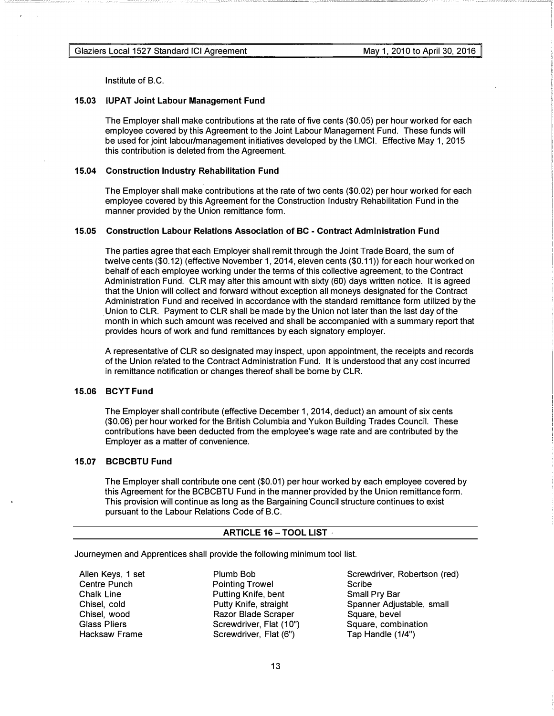Institute of B.C.

# 15.03 IUPAT Joint Labour Management Fund

The Employer shall make contributions at the rate of five cents (\$0.05) per hour worked for each employee covered by this Agreement to the Joint Labour Management Fund. These funds will be used for joint labour/management initiatives developed by the LMCI. Effective May 1, 2015 this contribution is deleted from the Agreement.

--\_\_ co- �--:\_: \_\_ :\_\_::\_:\_:\_\_ -- - - ----- --- �-,\_-

#### 15.04 Construction Industry Rehabilitation Fund

The Employer shall make contributions at the rate of two cents (\$0.02) per hour worked for each employee covered by this Agreement for the Construction Industry Rehabilitation Fund in the manner provided by the Union remittance form.

# 15.05 Construction Labour Relations Association of BC - Contract Administration Fund

The parties agree that each Employer shall remit through the Joint Trade Board, the sum of twelve cents (\$0.12) (effective November 1, 2014, eleven cents (\$0.11)) for each hour worked on behalf of each employee working under the terms of this collective agreement, to the Contract Administration Fund. CLR may alter this amount with sixty (60) days written notice. It is agreed that the Union will collect and forward without exception all moneys designated for the Contract Administration Fund and received in accordance with the standard remittance form utilized by the Union to CLR. Payment to CLR shall be made by the Union not later than the last day of the month in which such amount was received and shall be accompanied with a summary report that provides hours of work and fund remittances by each signatory employer.

A representative of CLR so designated may inspect, upon appointment, the receipts and records of the Union related to the Contract Administration Fund. It is understood that any cost incurred in remittance notification or changes thereof shall be borne by CLR.

#### 15.06 BCYT Fund

The Employer shall contribute (effective December 1, 2014, deduct) an amount of six cents (\$0.06) per hour worked for the British Columbia and Yukon Building Trades Council. These contributions have been deducted from the employee's wage rate and are contributed by the Employer as a matter of convenience.

# 15.07 BCBCBTU Fund

The Employer shall contribute one cent (\$0.01) per hour worked by each employee covered by this Agreement for the BCBCBTU Fund in the manner provided by the Union remittance form. This provision will continue as long as the Bargaining Council structure continues to exist pursuant to the Labour Relations Code of B.C.

# ARTICLE 16 - TOOL LIST

Journeymen and Apprentices shall provide the following minimum tool list.

Allen Keys, 1 set Centre Punch Chalk Line Chisel, cold Chisel, wood Glass Pliers Hacksaw Frame

Plumb Bob Pointing Trowel Putting Knife, bent Putty Knife, straight Razor Blade Scraper Screwdriver, Flat (10") Screwdriver, Flat (6")

Screwdriver, Robertson (red) Scribe Small Pry Bar Spanner Adjustable, small Square, bevel Square, combination Tap Handle (1/4")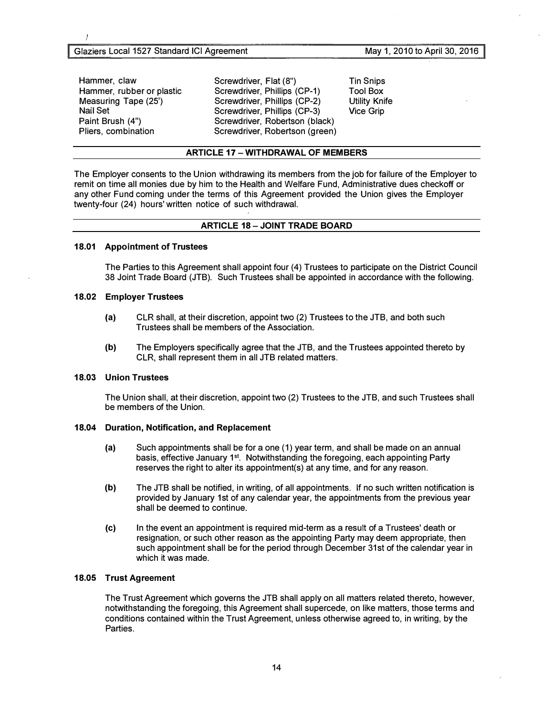Hammer, claw Hammer, rubber or plastic Measuring Tape (25') Nail Set Paint Brush (4") Pliers, combination

Screwdriver, Flat (8") Screwdriver, Phillips (CP-1) Screwdriver, Phillips (CP-2) Screwdriver, Phillips (CP-3) Screwdriver, Robertson (black) Screwdriver, Robertson (green) Tin Snips Tool Box Utility Knife Vice Grip

## May 1, 2010 to April 30, 2016

ARTICLE 17 - WITHDRAWAL OF MEMBERS

The Employer consents to the Union withdrawing its members from the job for failure of the Employer to remit on time all monies due by him to the Health and Welfare Fund, Administrative dues checkoff or any other Fund coming under the terms of this Agreement provided the Union gives the Employer twenty-four (24) hours' written notice of such withdrawal.

#### ARTICLE 18 - JOINT TRADE BOARD

#### 18.01 Appointment of Trustees

The Parties to this Agreement shall appoint four (4) Trustees to participate on the District Council 38 Joint Trade Board (JTB). Such Trustees shall be appointed in accordance with the following.

#### 18.02 Employer Trustees

- (a) CLR shall, at their discretion, appoint two (2) Trustees to the JTB, and both such Trustees shall be members of the Association.
- (b) The Employers specifically agree that the JTB, and the Trustees appointed thereto by CLR, shall represent them in all JTB related matters.

# 18.03 Union Trustees

The Union shall, at their discretion, appoint two (2) Trustees to the JTB, and such Trustees shall be members of the Union.

#### 18.04 Duration, Notification, and Replacement

- (a) Such appointments shall be for a one (1) year term, and shall be made on an annual basis, effective January 1<sup>st</sup>. Notwithstanding the foregoing, each appointing Party reserves the right to alter its appointment(s) at any time, and for any reason.
- (b) The JTB shall be notified, in writing, of all appointments. If no such written notification is provided by January 1st of any calendar year, the appointments from the previous year shall be deemed to continue.
- (c) In the event an appointment is required mid-term as a result of a Trustees' death or resignation, or such other reason as the appointing Party may deem appropriate, then such appointment shall be for the period through December 31st of the calendar year in which it was made.

#### 18.05 Trust Agreement

The Trust Agreement which governs the JTB shall apply on all matters related thereto, however, notwithstanding the foregoing, this Agreement shall supercede, on like matters, those terms and conditions contained within the Trust Agreement, unless otherwise agreed to, in writing, by the **Parties**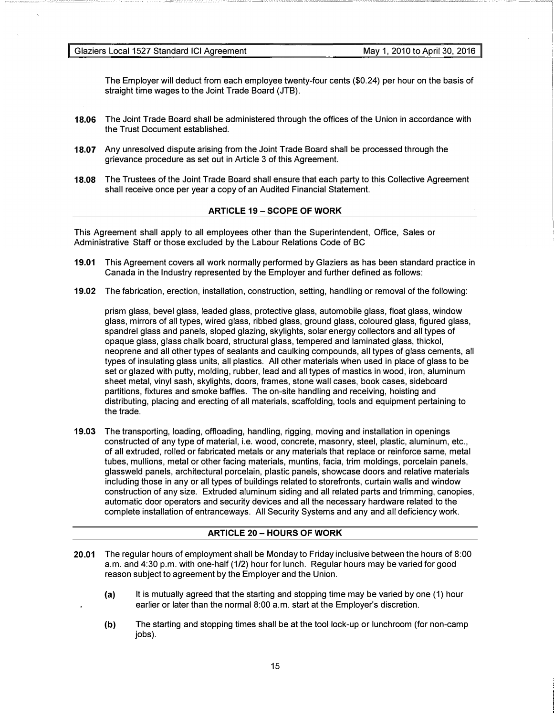Glaziers Local 1527 Standard ICI Agreement May 1, 2010 to April 30, 2016

The Employer will deduct from each employee twenty-four cents (\$0.24) per hour on the basis of straight time wages to the Joint Trade Board (JTB).

- 18.06 The Joint Trade Board shall be administered through the offices of the Union in accordance with the Trust Document established.
- 18.07 Any unresolved dispute arising from the Joint Trade Board shall be processed through the grievance procedure as set out in Article 3 of this Agreement.
- 18.08 The Trustees of the Joint Trade Board shall ensure that each party to this Collective Agreement shall receive once per year a copy of an Audited Financial Statement.

# ARTICLE 19 - SCOPE OF WORK

This Agreement shall apply to all employees other than the Superintendent, Office, Sales or Administrative Staff or those excluded by the Labour Relations Code of BC

- 19.01 This Agreement covers all work normally performed by Glaziers as has been standard practice in Canada in the Industry represented by the Employer and further defined as follows:
- 19.02 The fabrication, erection, installation, construction, setting, handling or removal of the following:

prism glass, bevel glass, leaded glass, protective glass, automobile glass, float glass, window glass, mirrors of all types, wired glass, ribbed glass, ground glass, coloured glass, figured glass, spandrel glass and panels, sloped glazing, skylights, solar energy collectors and all types of opaque glass, glass chalk board, structural glass, tempered and laminated glass, thickol, neoprene and all other types of sealants and caulking compounds, all types of glass cements, all types of insulating glass units, all plastics. All other materials when used in place of glass to be set or glazed with putty, molding, rubber, lead and all types of mastics in wood, iron, aluminum sheet metal, vinyl sash, skylights, doors, frames, stone wall cases, book cases, sideboard partitions, fixtures and smoke baffles. The on-site handling and receiving, hoisting and distributing, placing and erecting of all materials, scaffolding, tools and equipment pertaining to the trade.

19.03 The transporting, loading, offloading, handling, rigging, moving and installation in openings constructed of any type of material, i.e. wood, concrete, masonry, steel, plastic, aluminum, etc., of all extruded, rolled or fabricated metals or any materials that replace or reinforce same, metal tubes, mullions, metal or other facing materials, muntins, facia, trim moldings, porcelain panels, glassweld panels, architectural porcelain, plastic panels, showcase doors and relative materials including those in any or all types of buildings related to storefronts, curtain walls and window construction of any size. Extruded aluminum siding and all related parts and trimming, canopies, automatic door operators and security devices and all the necessary hardware related to the complete installation of entranceways. All Security Systems and any and all deficiency work.

# **ARTICLE 20 - HOURS OF WORK**

- 20.01 The regular hours of employment shall be Monday to Friday inclusive between the hours of 8:00 a.m. and 4:30 p.m. with one-half (1/2) hour for lunch. Regular hours may be varied for good reason subject to agreement by the Employer and the Union.
	- (a) It is mutually agreed that the starting and stopping time may be varied by one (1) hour earlier or later than the normal 8:00 a.m. start at the Employer's discretion.
	- (b) The starting and stopping times shall be at the tool lock-up or lunchroom (for non-camp iobs).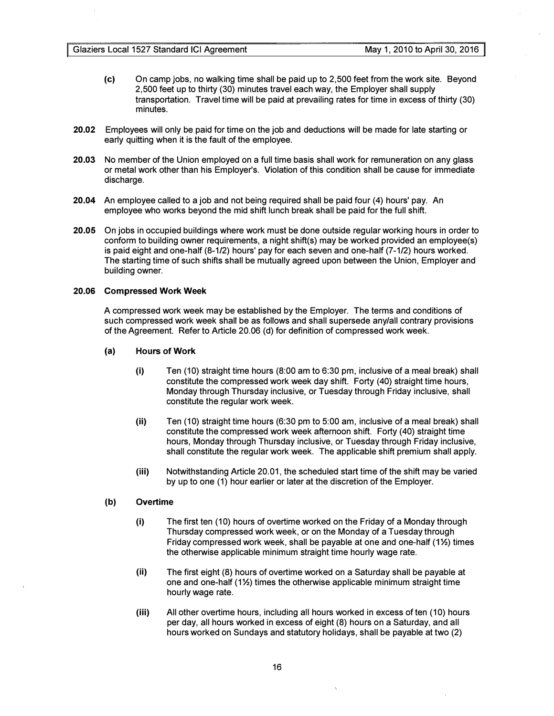- (c) On camp jobs, no walking time shall be paid up to 2,500 feet from the work site. Beyond 2,500 feet up to thirty (30) minutes travel each way, the Employer shall supply transportation. Travel time will be paid at prevailing rates for time in excess of thirty (30) minutes.
- 20.02 Employees will only be paid for time on the job and deductions will be made for late starting or early quitting when it is the fault of the employee.
- 20.03 No member of the Union employed on a full time basis shall work for remuneration on any glass or metal work other than his Employer's. Violation of this condition shall be cause for immediate discharge.
- 20.04 An employee called to a job and not being required shall be paid four (4) hours' pay. An employee who works beyond the mid shift lunch break shall be paid for the full shift.
- 20.05 On jobs in occupied buildings where work must be done outside regular working hours in order to conform to building owner requirements, a night shift(s) may be worked provided an employee(s) is paid eight and one-half (8-1/2) hours' pay for each seven and one-half (7-1/2) hours worked. The starting time of such shifts shall be mutually agreed upon between the Union, Employer and building owner.

#### 20.06 Compressed Work Week

A compressed work week may be established by the Employer. The terms and conditions of such compressed work week shall be as follows and shall supersede any/all contrary provisions of the Agreement. Refer to Article 20.06 (d) for definition of compressed work week.

#### (a) Hours of Work

- (i) Ten (10) straight time hours (8:00 am to 6:30 pm, inclusive of a meal break) shall constitute the compressed work week day shift. Forty (40) straight time hours, Monday through Thursday inclusive, or Tuesday through Friday inclusive, shall constitute the regular work week.
- (ii) Ten (10) straight time hours (6:30 pm to 5:00 am, inclusive of a meal break) shall constitute the compressed work week afternoon shift. Forty (40) straight time hours, Monday through Thursday inclusive, or Tuesday through Friday inclusive, shall constitute the regular work week. The applicable shift premium shall apply.
- (iii) Notwithstanding Article 20.01, the scheduled start time of the shift may be varied by up to one (1) hour earlier or later at the discretion of the Employer.

#### (b) Overtime

- (i) The first ten (10) hours of overtime worked on the Friday of a Monday through Thursday compressed work week, or on the Monday of a Tuesday through Friday compressed work week, shall be payable at one and one-half (1%) times the otherwise applicable minimum straight time hourly wage rate.
- (ii) The first eight (8) hours of overtime worked on a Saturday shall be payable at one and one-half  $(1\frac{1}{2})$  times the otherwise applicable minimum straight time hourly wage rate.
- (iii) All other overtime hours, including all hours worked in excess of ten (10) hours per day, all hours worked in excess of eight (8) hours on a Saturday, and all hours worked on Sundays and statutory holidays, shall be payable at two (2)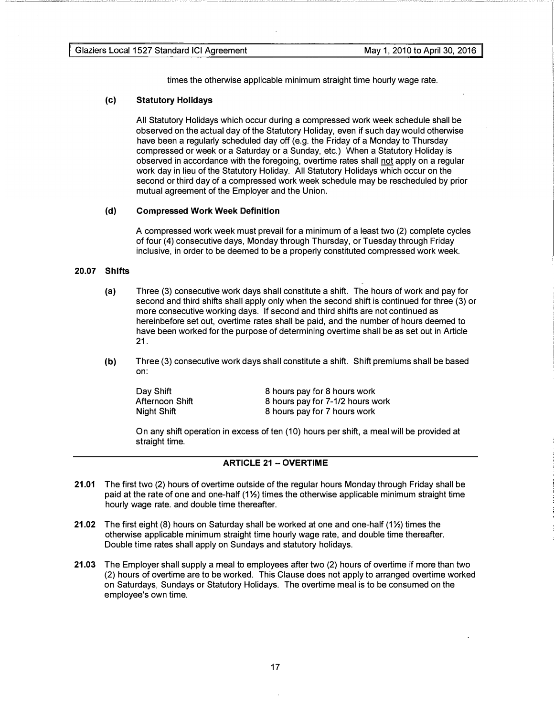times the otherwise applicable minimum straight time hourly wage rate.

#### (c) Statutory Holidays

All Statutory Holidays which occur during a compressed work week schedule shall be observed on the actual day of the Statutory Holiday, even if such day would otherwise have been a regularly scheduled day off (e.g. the Friday of a Monday to Thursday compressed or week or a Saturday or a Sunday, etc.) When a Statutory Holiday is observed in accordance with the foregoing, overtime rates shall not apply on a regular work day in lieu of the Statutory Holiday. All Statutory Holidays which occur on the second or third day of a compressed work week schedule may be rescheduled by prior mutual agreement of the Employer and the Union.

#### (d) Compressed Work Week Definition

A compressed work week must prevail for a minimum of a least two (2) complete cycles of four (4) consecutive days, Monday through Thursday, or Tuesday through Friday inclusive, in order to be deemed to be a properly constituted compressed work week.

#### 20.07 Shifts

----

--== - �-=- --=-=- =-----

- (a) Three (3) consecutive work days shall constitute a shift. The hours of work and pay for second and third shifts shall apply only when the second shift is continued for three (3) or more consecutive working days. If second and third shifts are not continued as hereinbefore set out, overtime rates shall be paid, and the number of hours deemed to have been worked for the purpose of determining overtime shall be as set out in Article 21.
- (b) Three (3) consecutive work days shall constitute a shift. Shift premiums shall be based on:

| Day Shift       | 8 hours pay for 8 hours work     |
|-----------------|----------------------------------|
| Afternoon Shift | 8 hours pay for 7-1/2 hours work |
| Night Shift     | 8 hours pay for 7 hours work     |

On any shift operation in excess of ten (10) hours per shift, a meal will be provided at straight time.

#### **ARTICLE 21 - OVERTIME**

- 21.01 The first two (2) hours of overtime outside of the regular hours Monday through Friday shall be paid at the rate of one and one-half (1%) times the otherwise applicable minimum straight time hourly wage rate. and double time thereafter.
- 21.02 The first eight (8) hours on Saturday shall be worked at one and one-half  $(1\%)$  times the otherwise applicable minimum straight time hourly wage rate, and double time thereafter. Double time rates shall apply on Sundays and statutory holidays.
- 21.03 The Employer shall supply a meal to employees after two (2) hours of overtime if more than two (2) hours of overtime are to be worked. This Clause does not apply to arranged overtime worked on Saturdays, Sundays or Statutory Holidays. The overtime meal is to be consumed on the employee's own time.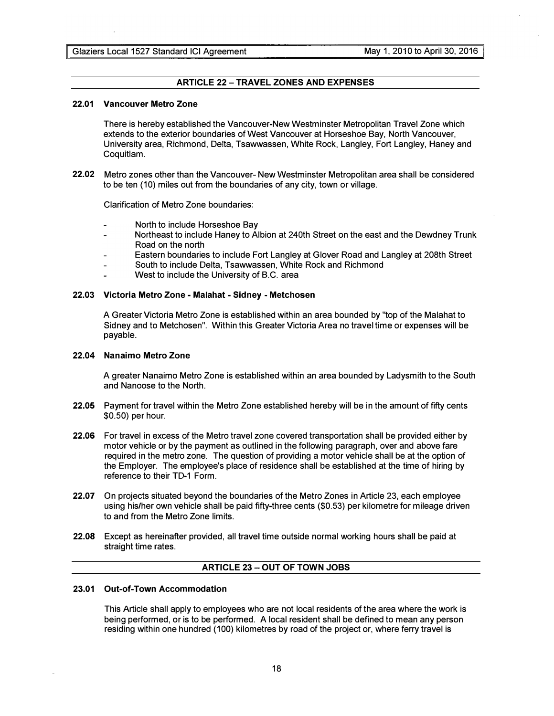# **ARTICLE 22 - TRAVEL ZONES AND EXPENSES**

#### 22.01 Vancouver Metro Zone

There is hereby established the Vancouver-New Westminster Metropolitan Travel Zone which extends to the exterior boundaries of West Vancouver at Horseshoe Bay, North Vancouver, University area, Richmond, Delta, Tsawwassen, White Rock, Langley, Fort Langley, Haney and Coquitlam.

22.02 Metro zones other than the Vancouver- New Westminster Metropolitan area shall be considered to be ten (10) miles out from the boundaries of any city, town or village.

Clarification of Metro Zone boundaries:

- North to include Horseshoe Bay
- Northeast to include Haney to Albion at 24oth Street on the east and the Dewdney Trunk  $\overline{a}$ Road on the north
- Eastern boundaries to include Fort Langley at Glover Road and Langley at 208th Street
- South to include Delta, Tsawwassen, White Rock and Richmond ÷,
- West to include the University of B.C. area

#### 22.03 Victoria Metro Zone - Malahat - Sidney - Metchosen

A Greater Victoria Metro Zone is established within an area bounded by "top of the Malahat to Sidney and to Metchosen". Within this Greater Victoria Area no travel time or expenses will be payable.

#### 22.04 Nanaimo Metro Zone

A greater Nanaimo Metro Zone is established within an area bounded by Ladysmith to the South and Nanoose to the North.

- 22.05 Payment for travel within the Metro Zone established hereby will be in the amount of fifty cents \$0.50) per hour.
- 22.06 For travel in excess of the Metro travel zone covered transportation shall be provided either by motor vehicle or by the payment as outlined in the following paragraph, over and above fare required in the metro zone. The question of providing a motor vehicle shall be at the option of the Employer. The employee's place of residence shall be established at the time of hiring by reference to their TD-1 Form.
- 22.07 On projects situated beyond the boundaries of the Metro Zones in Article 23, each employee using his/her own vehicle shall be paid fifty-three cents (\$0.53) per kilometre for mileage driven to and from the Metro Zone limits.
- 22.08 Except as hereinafter provided, all travel time outside normal working hours shall be paid at straight time rates.

# ARTICLE 23 - OUT OF TOWN JOBS

#### 23.01 Out-of-Town Accommodation

This Article shall apply to employees who are not local residents of the area where the work is being performed, or is to be performed. A local resident shall be defined to mean any person residing within one hundred (100) kilometres by road of the project or, where ferry travel is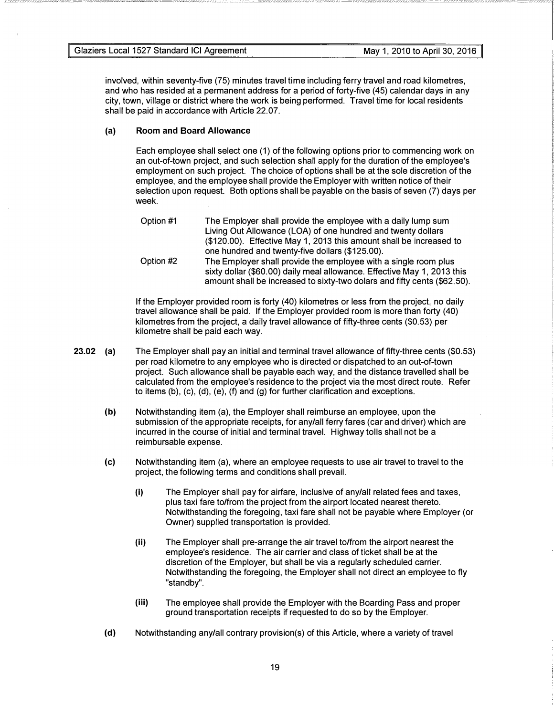involved, within seventy-five (75) minutes travel time including ferry travel and road kilometres, and who has resided at a permanent address for a period of forty-five (45) calendar days in any city, town, village or district where the work is being performed. Travel time for local residents shall be paid in accordance with Article 22.07.

# (a) Room and Board Allowance

Each employee shall select one (1) of the following options prior to commencing work on an out-of-town project, and such selection shall apply for the duration of the employee's employment on such project. The choice of options shall be at the sole discretion of the employee, and the employee shall provide the Employer with written notice of their selection upon request. Both options shall be payable on the basis of seven (7) days per week.

```
Option #1 
Option #2 
                 The Employer shall provide the employee with a daily lump sum 
                 Living Out Allowance (LOA) of one hundred and twenty dollars 
                 ($120.00). Effective May 1, 2013 this amount shall be increased to 
                 one hundred and twenty-five dollars ($125.00). 
                 The Employer shall provide the employee with a single room plus 
                 sixty dollar ($60.00) daily meal allowance. Effective May 1, 2013 this 
                 amount shall be increased to sixty-two dolars and fifty cents ($62.50).
```
If the Employer provided room is forty (40) kilometres or less from the project, no daily travel allowance shall be paid. If the Employer provided room is more than forty (40) kilometres from the project, a daily travel allowance of fifty-three cents (\$0.53) per kilometre shall be paid each way.

- 23.02 (a) The Employer shall pay an initial and terminal travel allowance of fifty-three cents (\$0.53) per road kilometre to any employee who is directed or dispatched to an out-of-town project. Such allowance shall be payable each way, and the distance travelled shall be calculated from the employee's residence to the project via the most direct route. Refer to items (b), (c), (d), (e), (f) and (g) for further clarification and exceptions.
	- (b) Notwithstanding item (a), the Employer shall reimburse an employee, upon the submission of the appropriate receipts, for any/all ferry fares (car and driver) which are incurred in the course of initial and terminal travel. Highway tolls shall not be a reimbursable expense.
	- (c) Notwithstanding item (a), where an employee requests to use air travel to travel to the project, the following terms and conditions shall prevail.
		- (i) The Employer shall pay for airfare, inclusive of any/all related fees and taxes, plus taxi fare to/from the project from the airport located nearest thereto. Notwithstanding the foregoing, taxi fare shall not be payable where Employer (or Owner) supplied transportation is provided.
		- (ii) The Employer shall pre-arrange the air travel to/from the airport nearest the employee's residence. The air carrier and class of ticket shall be at the discretion of the Employer, but shall be via a regularly scheduled carrier. Notwithstanding the foregoing, the Employer shall not direct an employee to fly "standby".
		- (iii) The employee shall provide the Employer with the Boarding Pass and proper ground transportation receipts if requested to do so by the Employer.
	- (d) Notwithstanding any/all contrary provision(s) of this Article, where a variety of travel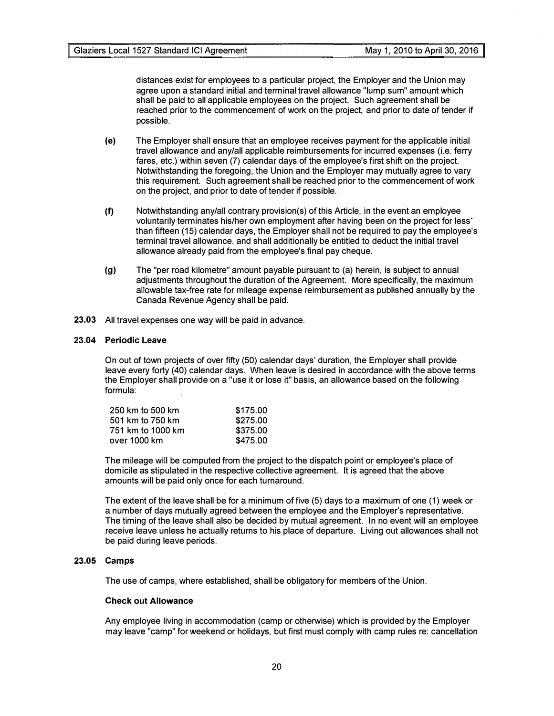distances exist for employees to a particular project, the Employer and the Union may agree upon a standard initial and terminal travel allowance "lump sum" amount which shall be paid to all applicable employees on the project. Such agreement shall be reached prior to the commencement of work on the project, and prior to date of tender if possible.

- (e) The Employer shall ensure that an employee receives payment for the applicable initial travel allowance and any/all applicable reimbursements for incurred expenses (i.e. ferry fares, etc.) within seven (7) calendar days of the employee's first shift on the project. Notwithstanding the foregoing, the Union and the Employer may mutually agree to vary this requirement. Such agreement shall be reached prior to the commencement of work on the project, and prior to date of tender if possible.
- (f) Notwithstanding any/all contrary provision(s) of this Article, in the event an employee voluntarily terminates his/her own employment after having been on the project for less than fifteen (15) calendar days, the Employer shall not be required to pay the employee's terminal travel allowance, and shall additionally be entitled to deduct the initial travel allowance already paid from the employee's final pay cheque.
- (g) The "per road kilometre" amount payable pursuant to (a) herein, is subject to annual adjustments throughout the duration of the Agreement. More specifically, the maximum allowable tax-free rate for mileage expense reimbursement as published annually by the Canada Revenue Agency shall be paid.
- 23.03 All travel expenses one way will be paid in advance.

# 23.04 Periodic Leave

On out of town projects of over fifty (50) calendar days' duration, the Employer shall provide leave every forty (40) calendar days. When leave is desired in accordance with the above terms the Employer shall provide on a "use it or lose it" basis, an allowance based on the following formula:

| \$175.00 |
|----------|
| \$275.00 |
| \$375.00 |
| \$475.00 |
|          |

The mileage will be computed from the project to the dispatch point or employee's place of domicile as stipulated in the respective collective agreement. It is agreed that the above amounts will be paid only once for each turnaround.

The extent of the leave shall be for a minimum of five (5) days to a maximum of one (1) week or a number of days mutually agreed between the employee and the Employer's representative. The timing of the leave shall also be decided by mutual agreement. In no event will an employee receive leave unless he actually returns to his place of departure. Living out allowances shall not be paid during leave periods.

# 23.05 Camps

The use of camps, where established, shall be obligatory for members of the Union.

#### Check out Allowance

Any employee living in accommodation (camp or otherwise) which is provided by the Employer may leave "camp" for weekend or holidays, but first must comply with camp rules re: cancellation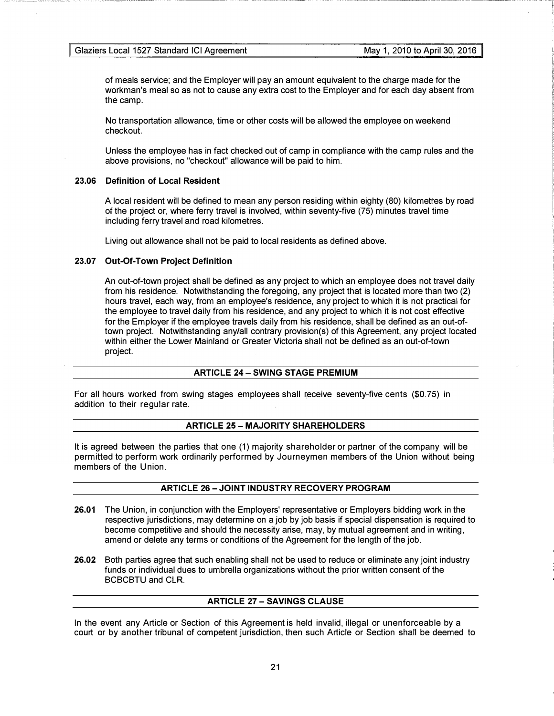------- -- -- -

-

of meals service; and the Employer will pay an amount equivalent to the charge made for the workman's meal so as not to cause any extra cost to the Employer and for each day absent from the camp.

No transportation allowance, time or other costs will be allowed the employee on weekend checkout.

Unless the employee has in fact checked out of camp in compliance with the camp rules and the above provisions, no "checkout" allowance will be paid to him.

#### 23.06 Definition of Local Resident

A local resident will be defined to mean any person residing within eighty (80) kilometres by road of the project or, where ferry travel is involved, within seventy-five (75) minutes travel time including ferry travel and road kilometres.

Living out allowance shall not be paid to local residents as defined above.

#### 23.07 Out-Of-Town Project Definition

An out-of-town project shall be defined as any project to which an employee does not travel daily from his residence. Notwithstanding the foregoing, any project that is located more than two (2) hours travel, each way, from an employee's residence, any project to which it is not practical for the employee to travel daily from his residence, and any project to which it is not cost effective for the Employer if the employee travels daily from his residence, shall be defined as an out-oftown project. Notwithstanding any/all contrary provision(s) of this Agreement, any project located within either the Lower Mainland or Greater Victoria shall not be defined as an out-of-town project.

## ARTICLE 24- SWING STAGE PREMIUM

For all hours worked from swing stages employees shall receive seventy-five cents (\$0.75) in addition to their regular rate.

## **ARTICLE 25 - MAJORITY SHAREHOLDERS**

It is agreed between the parties that one (1) majority shareholder or partner of the company will be permitted to perform work ordinarily performed by Journeymen members of the Union without being members of the Union.

# ARTICLE 26 - JOINT INDUSTRY RECOVERY PROGRAM

- 26.01 The Union, in conjunction with the Employers' representative or Employers bidding work in the respective jurisdictions, may determine on a job by job basis if special dispensation is required to become competitive and should the necessity arise, may, by mutual agreement and in writing, amend or delete any terms or conditions of the Agreement for the length of the job.
- 26.02 Both parties agree that such enabling shall not be used to reduce or eliminate any joint industry funds or individual dues to umbrella organizations without the prior written consent of the BCBCBTU and CLR.

# **ARTICLE 27 - SAVINGS CLAUSE**

In the event any Article or Section of this Agreement is held invalid, illegal or unenforceable by a court or by another tribunal of competent jurisdiction, then such Article or Section shall be deemed to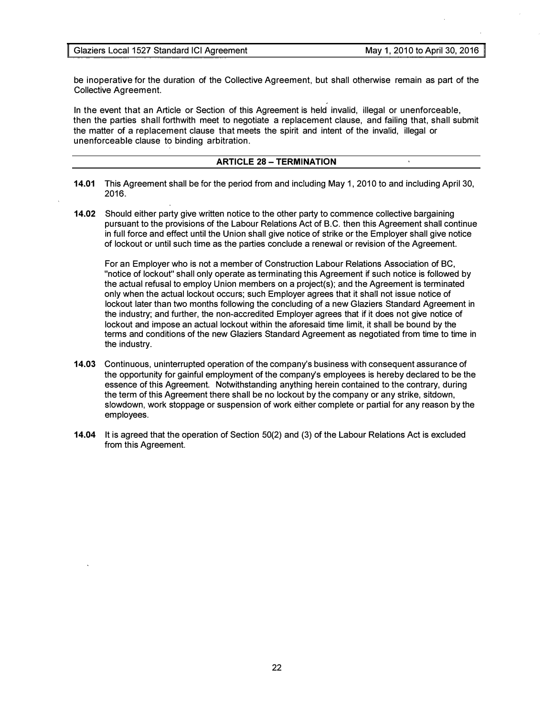be inoperative for the duration of the Collective Agreement, but shall otherwise remain as part of the Collective Agreement.

In the event that an Article or Section of this Agreement is held invalid, illegal or unenforceable, then the parties shall forthwith meet to negotiate a replacement clause, and failing that, shall submit the matter of a replacement clause that meets the spirit and intent of the invalid, illegal or unenforceable clause to binding arbitration.

# **ARTICLE 28 - TERMINATION**

- 14.01 This Agreement shall be for the period from and including May 1, 2010 to and including April 30, 2016.
- 14.02 Should either party give written notice to the other party to commence collective bargaining pursuant to the provisions of the Labour Relations Act of B.C. then this Agreement shall continue in full force and effect until the Union shall give notice of strike or the Employer shall give notice of lockout or until such time as the parties conclude a renewal or revision of the Agreement.

For an Employer who is not a member of Construction Labour Relations Association of BC, "notice of lockout" shall only operate as terminating this Agreement if such notice is followed by the actual refusal to employ Union members on a project(s); and the Agreement is terminated only when the actual lockout occurs; such Employer agrees that it shall not issue notice of lockout later than two months following the concluding of a new Glaziers Standard Agreement in the industry; and further, the non-accredited Employer agrees that if it does not give notice of lockout and impose an actual lockout within the aforesaid time limit, it shall be bound by the terms and conditions of the new Glaziers Standard Agreement as negotiated from time to time in the industry.

- 14.03 Continuous, uninterrupted operation of the company's business with consequent assurance of the opportunity for gainful employment of the company's employees is hereby declared to be the essence of this Agreement. Notwithstanding anything herein contained to the contrary, during the term of this Agreement there shall be no lockout by the company or any strike, sitdown, slowdown, work stoppage or suspension of work either complete or partial for any reason by the employees.
- 14.04 It is agreed that the operation of Section 50(2) and (3) of the Labour Relations Act is excluded from this Agreement.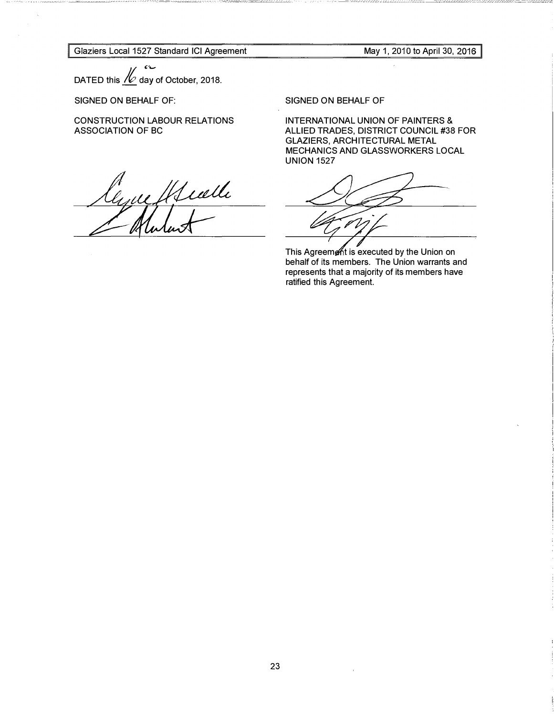Glaziers Local 1527 Standard ICI Agreement

May 1, 2010 to April 30,

DATED this  $\mathcal{N}$  day of October, 2018.

SIGNED ON BEHALF OF:

CONSTRUCTION LABOUR RELATIONS ASSOCIATION OF BC

anne Il Seulle

SIGNED ON BEHALF OF

INTERNATIONAL UNION OF PAINTERS & ALLIED TRADES, DISTRICT COUNCIL #38 FOR GLAZIERS, ARCHITECTURAL METAL MECHANICS AND GLASSWORKERS LOCAL UNION 1527

This Agreem t is executed by the Union on behalf of its members. The Union warrants and represents that a majority of its members have ratified this Agreement.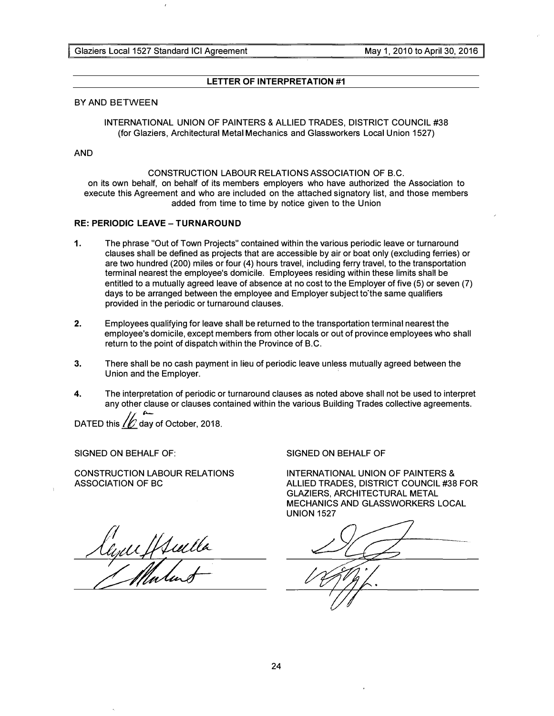# LETTER OF INTERPRETATION #1

## BY AND BETWEEN

INTERNATIONAL UNION OF PAINTERS & ALLIED TRADES, DISTRICT COUNCIL #38 (for Glaziers, Architectural Metal Mechanics and Glassworkers Local Union 1527)

#### AND

# CONSTRUCTION LABOUR RELATIONS ASSOCIATION OF B.C.

on its own behalf, on behalf of its members employers who have authorized the Association to execute this Agreement and who are included on the attached signatory list, and those members added from time to time by notice given to the Union

# RE: PERIODIC LEAVE - TURNAROUND

- 1. The phrase "Out of Town Projects" contained within the various periodic leave or turnaround clauses shall be defined as projects that are accessible by air or boat only (excluding ferries) or are two hundred (200) miles or four (4) hours travel, including ferry travel, to the transportation terminal nearest the employee's domicile. Employees residing within these limits shall be entitled to a mutually agreed leave of absence at no cost to the Employer of five (5) or seven (7) days to be arranged between the employee and Employer subject to the same qualifiers provided in the periodic or turnaround clauses.
- 2. Employees qualifying for leave shall be returned to the transportation terminal nearest the employee's domicile, except members from other locals or out of province employees who shall return to the point of dispatch within the Province of B.C.
- 3. There shall be no cash payment in lieu of periodic leave unless mutually agreed between the Union and the Employer.
- 4. The interpretation of periodic or turnaround clauses as noted above shall not be used to interpret any other clause or clauses contained within the various Building Trades collective agreements.

DATED this  $/$  day of October, 2018.

SIGNED ON BEHALF OF:

CONSTRUCTION LABOUR RELATIONS ASSOCIATION OF BC

lyufffulle

SIGNED ON BEHALF OF

INTERNATIONAL UNION OF PAINTERS & ALLIED TRADES, DISTRICT COUNCIL #38 FOR GLAZIERS, ARCHITECTURAL METAL MECHANICS AND GLASSWORKERS LOCAL UNION 1527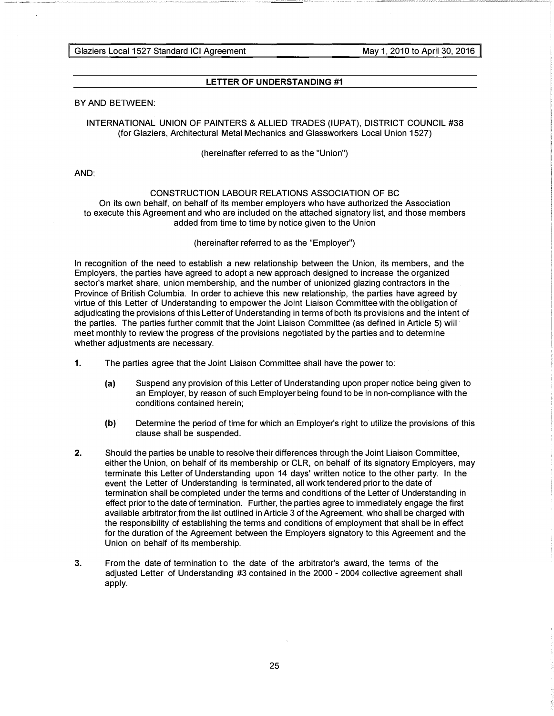Glaziers Local 1527 Standard ICI Agreement May 1, 2010 to April 30, 2016

# LETTER OF UNDERSTANDING #1

# BY AND BETWEEN:

# INTERNATIONAL UNION OF PAINTERS & ALLIED TRADES (IUPAT), DISTRICT COUNCIL #38 (for Glaziers, Architectural Metal Mechanics and Glassworkers Local Union 1527)

(hereinafter referred to as the "Union")

AND:

#### CONSTRUCTION LABOUR RELATIONS ASSOCIATION OF BC

On its own behalf, on behalf of its member employers who have authorized the Association to execute this Agreement and who are included on the attached signatory list, and those members added from time to time by notice given to the Union

#### (hereinafter referred to as the "Employer")

In recognition of the need to establish a new relationship between the Union, its members, and the Employers, the parties have agreed to adopt a new approach designed to increase the organized sector's market share, union membership, and the number of unionized glazing contractors in the Province of British Columbia. In order to achieve this new relationship, the parties have agreed by virtue of this Letter of Understanding to empower the Joint Liaison Committee with the obligation of adjudicating the provisions of this Letter of Understanding in terms of both its provisions and the intent of the parties. The parties further commit that the Joint Liaison Committee (as defined in Article 5) will meet monthly to review the progress of the provisions negotiated by the parties and to determine whether adjustments are necessary.

- 1. The parties agree that the Joint Liaison Committee shall have the power to:
	- (a) Suspend any provision of this Letter of Understanding upon proper notice being given to an Employer, by reason of such Employer being found to be in non-compliance with the conditions contained herein;
	- (b) Determine the period of time for which an Employer's right to utilize the provisions of this clause shall be suspended.
- 2. Should the parties be unable to resolve their differences through the Joint Liaison Committee, either the Union, on behalf of its membership or CLR, on behalf of its signatory Employers, may terminate this Letter of Understanding upon 14 days' written notice to the other party. In the event the Letter of Understanding is terminated, all work tendered prior to the date of termination shall be completed under the terms and conditions of the Letter of Understanding in effect prior to the date of termination. Further, the parties agree to immediately engage the first available arbitrator from the list outlined in Article 3 of the Agreement, who shall be charged with the responsibility of establishing the terms and conditions of employment that shall be in effect for the duration of the Agreement between the Employers signatory to this Agreement and the Union on behalf of its membership.
- 3. From the date of termination to the date of the arbitrator's award, the terms of the adjusted Letter of Understanding #3 contained in the 2000 - 2004 collective agreement shall apply.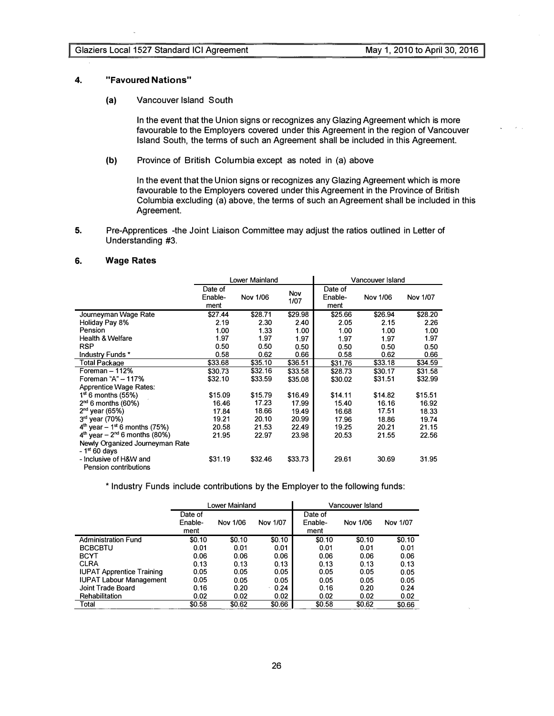#### 4. "Favoured Nations"

(a) Vancouver Island South

In the event that the Union signs or recognizes any Glazing Agreement which is more favourable to the Employers covered under this Agreement in the region of Vancouver Island South, the terms of such an Agreement shall be included in this Agreement.

(b) Province of British Columbia except as noted in (a) above

In the event that the Union signs or recognizes any Glazing Agreement which is more favourable to the Employers covered under this Agreement in the Province of British Columbia excluding (a) above, the terms of such an Agreement shall be included in this Agreement.

5. Pre-Apprentices -the Joint Liaison Committee may adjust the ratios outlined in Letter of Understanding #3.

# 6. Wage Rates

|                                                   |                            | Lower Mainland |             | Vancouver Island           |          |          |  |
|---------------------------------------------------|----------------------------|----------------|-------------|----------------------------|----------|----------|--|
|                                                   | Date of<br>Enable-<br>ment | Nov 1/06       | Nov<br>1/07 | Date of<br>Enable-<br>ment | Nov 1/06 | Nov 1/07 |  |
| Journeyman Wage Rate                              | \$27.44                    | \$28.71        | \$29.98     | \$25.66                    | \$26.94  | \$28.20  |  |
| Holiday Pay 8%                                    | 2.19                       | 2.30           | 2.40        | 2.05                       | 2.15     | 2.26     |  |
| Pension                                           | 1.00                       | 1.33           | 1.00        | 1.00                       | 1.00     | 1.00     |  |
| <b>Health &amp; Welfare</b>                       | 1.97                       | 1.97           | 1.97        | 1.97                       | 1.97     | 1.97     |  |
| <b>RSP</b>                                        | 0.50                       | 0.50           | 0.50        | 0.50                       | 0.50     | 0.50     |  |
| Industry Funds *                                  | 0.58                       | 0.62           | 0.66        | 0.58                       | 0.62     | 0.66     |  |
| Total Package                                     | \$33.68                    | \$35.10        | \$36.51     | \$31.76                    | \$33.18  | \$34.59  |  |
| Foreman $-112\%$                                  | \$30.73                    | \$32.16        | \$33.58     | \$28.73                    | \$30.17  | \$31.58  |  |
| Foreman "A" - 117%                                | \$32.10                    | \$33.59        | \$35.08     | \$30.02                    | \$31.51  | \$32.99  |  |
| <b>Apprentice Wage Rates:</b>                     |                            |                |             |                            |          |          |  |
| $1st$ 6 months (55%)                              | \$15.09                    | \$15.79        | \$16.49     | \$14.11                    | \$14.82  | \$15.51  |  |
| $2nd$ 6 months (60%)                              | 16.46                      | 17.23          | 17.99       | 15.40                      | 16.16    | 16.92    |  |
| $2nd$ year (65%)                                  | 17.84                      | 18.66          | 19.49       | 16.68                      | 17.51    | 18.33    |  |
| $3rd$ year (70%)                                  | 19.21                      | 20.10          | 20.99       | 17.96                      | 18.86    | 19.74    |  |
| $4^{th}$ year – 1 <sup>st</sup> 6 months (75%)    | 20.58                      | 21.53          | 22.49       | 19.25                      | 20.21    | 21.15    |  |
| $4^{th}$ year – $2^{nd}$ 6 months (80%)           | 21.95                      | 22.97          | 23.98       | 20.53                      | 21.55    | 22.56    |  |
| Newly Organized Journeyman Rate<br>$-1st 60$ days |                            |                |             |                            |          |          |  |
| - Inclusive of H&W and<br>Pension contributions   | \$31.19                    | \$32.46        | \$33.73     | 29.61                      | 30.69    | 31.95    |  |

\* Industry Funds include contributions by the Employer to the following funds:

|                                  |         | Lower Mainland |          |         | Vancouver Island |          |
|----------------------------------|---------|----------------|----------|---------|------------------|----------|
|                                  | Date of |                |          | Date of |                  |          |
|                                  | Enable- | Nov 1/06       | Nov 1/07 | Enable- | Nov 1/06         | Nov 1/07 |
|                                  | ment    |                |          | ment    |                  |          |
| <b>Administration Fund</b>       | \$0.10  | \$0.10         | \$0.10   | \$0.10  | \$0.10           | \$0.10   |
| <b>BCBCBTU</b>                   | 0.01    | 0.01           | 0.01     | 0.01    | 0.01             | 0.01     |
| <b>BCYT</b>                      | 0.06    | 0.06           | 0.06     | 0.06    | 0.06             | 0.06     |
| <b>CLRA</b>                      | 0.13    | 0.13           | 0.13     | 0.13    | 0.13             | 0.13     |
| <b>IUPAT Apprentice Training</b> | 0.05    | 0.05           | 0.05     | 0.05    | 0.05             | 0.05     |
| <b>IUPAT Labour Management</b>   | 0.05    | 0.05           | 0.05     | 0.05    | 0.05             | 0.05     |
| Joint Trade Board                | 0.16    | 0.20           | 0.24     | 0.16    | 0.20             | 0.24     |
| Rehabilitation                   | 0.02    | 0.02           | 0.02     | 0.02    | 0.02             | 0.02     |
| Total                            | \$0.58  | \$0.62         | \$0.66   | \$0.58  | \$0.62           | \$0.66   |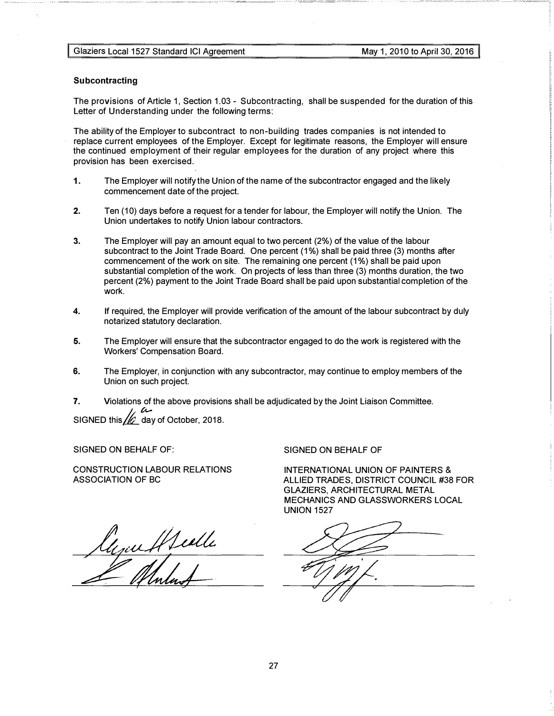#### Subcontracting

The provisions of Article 1, Section 1.03 - Subcontracting, shall be suspended for the duration of this Letter of Understanding under the following terms:

The ability of the Employer to subcontract to non-building trades companies is not intended to replace current employees of the Employer. Except for legitimate reasons, the Employer will ensure the continued employment of their regular employees for the duration of any project where this provision has been exercised.

- 1. The Employer will notify the Union of the name of the subcontractor engaged and the likely commencement date of the project.
- 2. Ten (10) days before a request for a tender for labour, the Employer will notify the Union. The Union undertakes to notify Union labour contractors.
- 3. The Employer will pay an amount equal to two percent (2%) of the value of the labour subcontract to the Joint Trade Board. One percent (1%) shall be paid three (3) months after commencement of the work on site. The remaining one percent (1%) shall be paid upon substantial completion of the work. On projects of less than three (3) months duration, the two percent (2%) payment to the Joint Trade Board shall be paid upon substantial completion of the work.
- 4. If required, the Employer will provide verification of the amount of the labour subcontract by duly notarized statutory declaration.
- 5. The Employer will ensure that the subcontractor engaged to do the work is registered with the Workers' Compensation Board.
- 6. The Employer, in conjunction with any subcontractor, may continue to employ members of the Union on such project.
- 7. Violations of the above provisions shall be adjudicated by the Joint Liaison Committee. SIGNED this  $\frac{1}{2}$  day of October, 2018.

SIGNED ON BEHALF OF:

CONSTRUCTION LABOUR RELATIONS ASSOCIATION OF BC

SIGNED ON BEHALF OF

INTERNATIONAL UNION OF PAINTERS & ALLIED TRADES, DISTRICT COUNCIL #38 FOR GLAZIERS, ARCHITECTURAL METAL MECHANICS AND GLASSWORKERS LOCAL UNION 1527

lyau Healle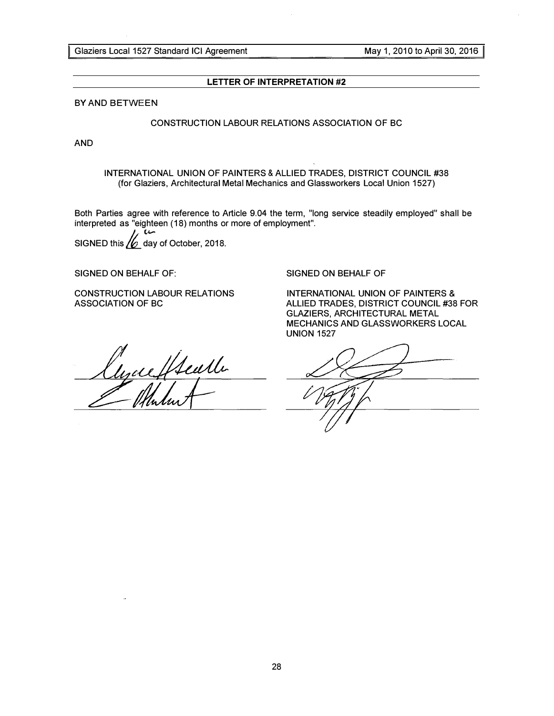Glaziers Local 1527 Standard ICI Agreement May 1, 2010 to April 30, 2016

# LETTER OF INTERPRETATION #2

BY AND BETWEEN

# CONSTRUCTION LABOUR RELATIONS ASSOCIATION OF BC

AND

INTERNATIONAL UNION OF PAINTERS & ALLIED TRADES, DISTRICT COUNCIL #38 (for Glaziers, Architectural Metal Mechanics and Glassworkers Local Union 1527)

Both Parties agree with reference to Article 9.04 the term, "long service steadily employed" shall be interpreted as "eighteen (18) months or more of employment".

 $\prime\prime$ SIGNED this  $/2$  day of October, 2018.

SIGNED ON BEHALF OF:

CONSTRUCTION LABOUR RELATIONS ASSOCIATION OF BC

lyceffteuth

SIGNED ON BEHALF OF

INTERNATIONAL UNION OF PAINTERS & ALLIED TRADES, DISTRICT COUNCIL #38 FOR GLAZIERS, ARCHITECTURAL METAL MECHANICS AND GLASSWORKERS LOCAL UNION 1527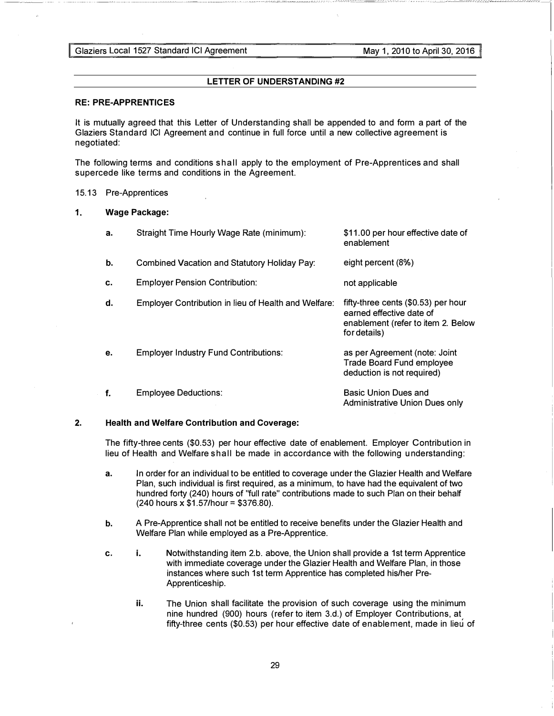Glaziers Local 1527 Standard ICI Agreement May 1, 2010 to April 30, 2016

# LETTER OF UNDERSTANDING #2

#### RE: PRE-APPRENTICES

It is mutually agreed that this Letter of Understanding shall be appended to and form a part of the Glaziers Standard ICI Agreement and continue in full force until a new collective agreement is negotiated:

The following terms and conditions shall apply to the employment of Pre-Apprentices and shall supercede like terms and conditions in the Agreement.

#### 15.13 Pre-Apprentices

#### 1. Wage Package:

| а. | Straight Time Hourly Wage Rate (minimum):            | \$11.00 per hour effective date of<br>enablement                                                                      |
|----|------------------------------------------------------|-----------------------------------------------------------------------------------------------------------------------|
| b. | <b>Combined Vacation and Statutory Holiday Pay:</b>  | eight percent (8%)                                                                                                    |
| c. | <b>Employer Pension Contribution:</b>                | not applicable                                                                                                        |
| d. | Employer Contribution in lieu of Health and Welfare: | fifty-three cents (\$0.53) per hour<br>earned effective date of<br>enablement (refer to item 2. Below<br>for details) |
| е. | <b>Employer Industry Fund Contributions:</b>         | as per Agreement (note: Joint<br>Trade Board Fund employee<br>deduction is not required)                              |
| f. | <b>Employee Deductions:</b>                          | <b>Basic Union Dues and</b><br>Administrative Union Dues only                                                         |

# 2. Health and Welfare Contribution and Coverage:

The fifty-three cents (\$0.53) per hour effective date of enablement. Employer Contribution in lieu of Health and Welfare shall be made in accordance with the following u nderstanding:

- a. In order for an individual to be entitled to coverage under the Glazier Health and Welfare Plan, such individual is first required, as a minimum, to have had the equivalent of two hundred forty (240) hours of "full rate" contributions made to such Plan on their behalf (240 hours x \$1.57/hour = \$376.80).
- b. A Pre-Apprentice shall not be entitled to receive benefits under the Glazier Health and Welfare Plan while employed as a Pre-Apprentice.
- c. i. Notwithstanding item 2.b. above, the Union shall provide a 1st term Apprentice with immediate coverage under the Glazier Health and Welfare Plan, in those instances where such 1st term Apprentice has completed his/her Pre-Apprenticeship.
	- ii. The Union shall facilitate the provision of such coverage using the minimum nine hundred (900) hours (refer to item 3.d.) of Employer Contributions, at fifty-three cents (\$0.53) per hour effective date of enablement, made in lieu of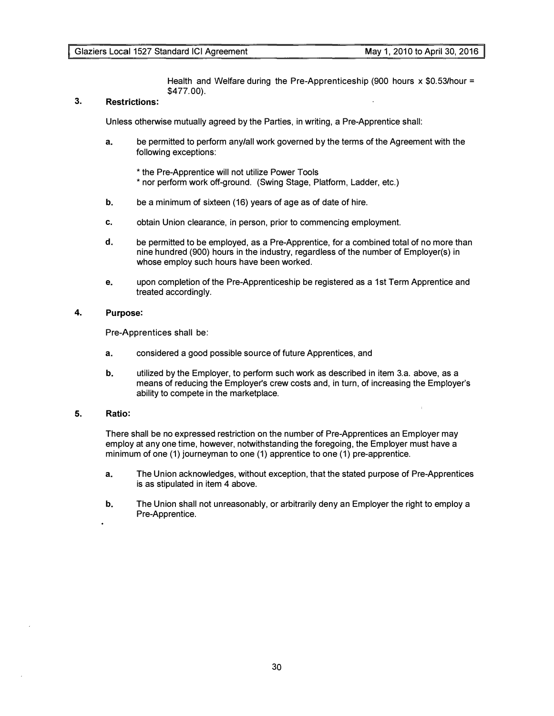Health and Welfare during the Pre-Apprenticeship (900 hours  $\times$  \$0.53/hour = \$477.00).

# 3. Restrictions:

Unless otherwise mutually agreed by the Parties, in writing, a Pre-Apprentice shall:

- a. be permitted to perform any/all work governed by the terms of the Agreement with the following exceptions:
	- \*the Pre-Apprentice will not utilize Power Tools \* nor perform work off-ground. (Swing Stage, Platform, Ladder, etc.)
- b. be a minimum of sixteen (16) years of age as of date of hire.
- c. obtain Union clearance, in person, prior to commencing employment.
- d. be permitted to be employed, as a Pre-Apprentice, for a combined total of no more than nine hundred (900) hours in the industry, regardless of the number of Employer(s) in whose employ such hours have been worked.
- e. upon completion of the Pre-Apprenticeship be registered as a 1st Term Apprentice and treated accordingly.

# 4. Purpose:

Pre-Apprentices shall be:

- a. considered a good possible source of future Apprentices, and
- b. utilized by the Employer, to perform such work as described in item 3.a. above, as a means of reducing the Employer's crew costs and, in turn, of increasing the Employer's ability to compete in the marketplace.

## 5. Ratio:

There shall be no expressed restriction on the number of Pre-Apprentices an Employer may employ at any one time, however, notwithstanding the foregoing, the Employer must have a minimum of one (1) journeyman to one (1) apprentice to one (1) pre-apprentice.

- a. The Union acknowledges, without exception, that the stated purpose of Pre-Apprentices is as stipulated in item 4 above.
- b. The Union shall not unreasonably, or arbitrarily deny an Employer the right to employ a Pre-Apprentice.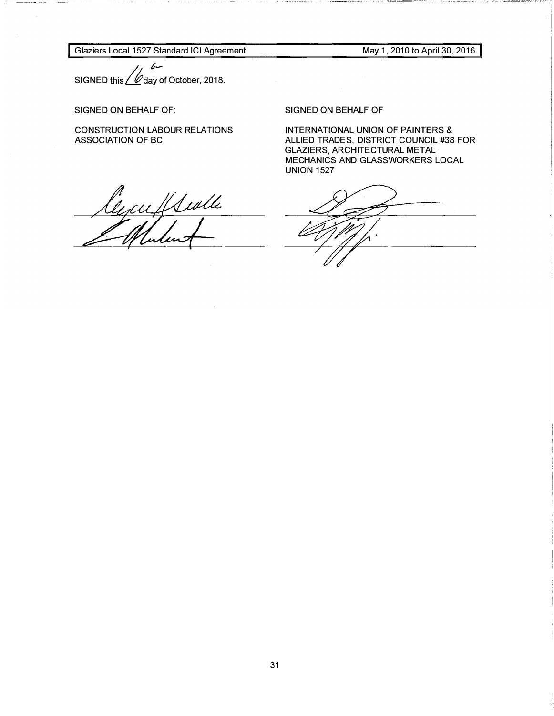Glaziers Local 1527 Standard ICI Agreement

May 1, 2010 to April 30, 2016

;  $\sim$ SIGNED this  $\angle \mathscr{U}$  day of October, 2018.

# SIGNED ON BEHALF OF:

CONSTRUCTION LABOUR RELATIONS ASSOCIATION OF BC

lycuffswille

SIGNED ON BEHALF OF

INTERNATIONAL UNION OF PAINTERS & ALLIED TRADES, DISTRICT COUNCIL #38 FOR GLAZIERS, ARCHITECTURAL METAL MECHANICS AND GLASSWORKERS LOCAL UNION 1527